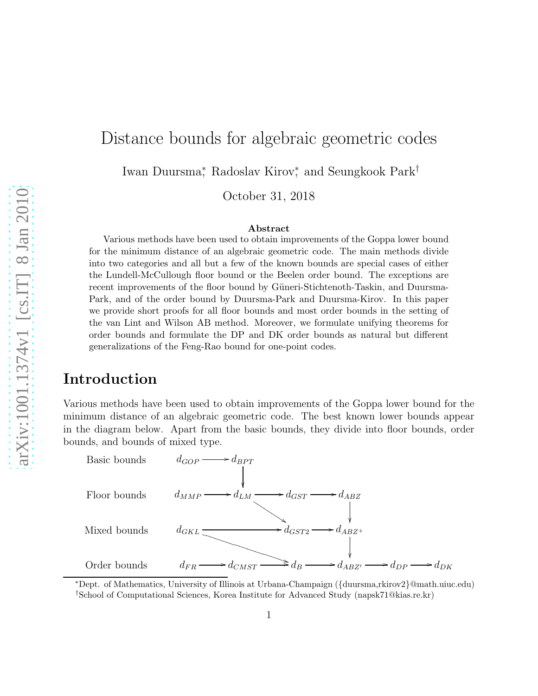# Distance bounds for algebraic geometric codes

Iwan Duursma<sup>∗</sup> , Radoslav Kirov<sup>∗</sup> , and Seungkook Park†

October 31, 2018

#### Abstract

Various methods have been used to obtain improvements of the Goppa lower bound for the minimum distance of an algebraic geometric code. The main methods divide into two categories and all but a few of the known bounds are special cases of either the Lundell-McCullough floor bound or the Beelen order bound. The exceptions are recent improvements of the floor bound by Güneri-Stichtenoth-Taskin, and Duursma-Park, and of the order bound by Duursma-Park and Duursma-Kirov. In this paper we provide short proofs for all floor bounds and most order bounds in the setting of the van Lint and Wilson AB method. Moreover, we formulate unifying theorems for order bounds and formulate the DP and DK order bounds as natural but different generalizations of the Feng-Rao bound for one-point codes.

# Introduction

Various methods have been used to obtain improvements of the Goppa lower bound for the minimum distance of an algebraic geometric code. The best known lower bounds appear in the diagram below. Apart from the basic bounds, they divide into floor bounds, order bounds, and bounds of mixed type.



<sup>∗</sup>Dept. of Mathematics, University of Illinois at Urbana-Champaign ({duursma,rkirov2}@math.uiuc.edu) †School of Computational Sciences, Korea Institute for Advanced Study (napsk71@kias.re.kr)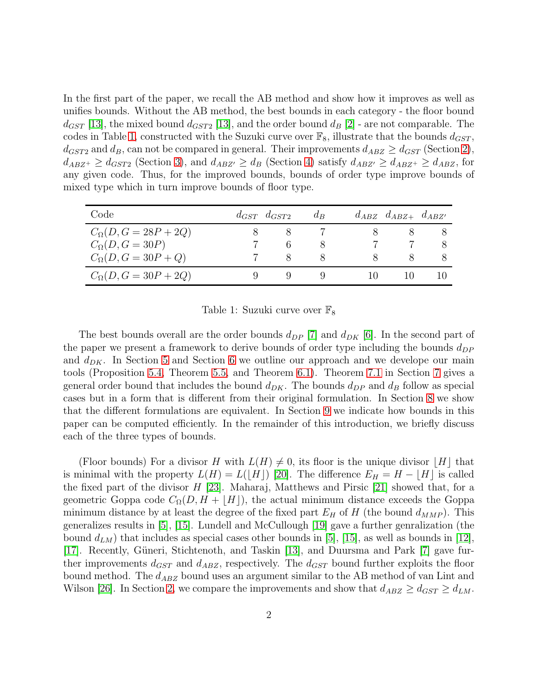In the first part of the paper, we recall the AB method and show how it improves as well as unifies bounds. Without the AB method, the best bounds in each category - the floor bound  $d_{GST}$  [\[13\]](#page-26-0), the mixed bound  $d_{GST2}$  [13], and the order bound  $d_B$  [\[2\]](#page-25-0) - are not comparable. The codes in Table [1,](#page-1-0) constructed with the Suzuki curve over  $\mathbb{F}_8$ , illustrate that the bounds  $d_{GST}$ ,  $d_{GST2}$  and  $d_B$ , can not be compared in general. Their improvements  $d_{ABZ} \geq d_{GST}$  (Section [2\)](#page-4-0),  $d_{ABZ^+} \geq d_{GST2}$  (Section [3\)](#page-8-0), and  $d_{ABZ'} \geq d_B$  (Section [4\)](#page-10-0) satisfy  $d_{ABZ'} \geq d_{ABZ^+} \geq d_{ABZ}$ , for any given code. Thus, for the improved bounds, bounds of order type improve bounds of mixed type which in turn improve bounds of floor type.

| Code                          | $d_{GST}$ $d_{GST2}$ | $d_{B}$      | $d_{ABZ}$ $d_{ABZ+}$ $d_{ABZ'}$ |  |
|-------------------------------|----------------------|--------------|---------------------------------|--|
| $C_{\Omega}(D, G = 28P + 2Q)$ |                      |              |                                 |  |
| $C_{\Omega}(D, G = 30P)$      |                      |              |                                 |  |
| $C_{\Omega}(D, G = 30P + Q)$  |                      | $\mathsf{x}$ |                                 |  |
| $C_{\Omega}(D, G = 30P + 2Q)$ |                      |              |                                 |  |

#### <span id="page-1-0"></span>Table 1: Suzuki curve over  $\mathbb{F}_8$

The best bounds overall are the order bounds  $d_{DP}$  [\[7\]](#page-26-1) and  $d_{DK}$  [\[6\]](#page-25-1). In the second part of the paper we present a framework to derive bounds of order type including the bounds  $d_{DP}$ and  $d_{DK}$ . In Section [5](#page-12-0) and Section [6](#page-15-0) we outline our approach and we develope our main tools (Proposition [5.4,](#page-14-0) Theorem [5.5,](#page-14-1) and Theorem [6.1\)](#page-15-1). Theorem [7.1](#page-19-0) in Section [7](#page-19-1) gives a general order bound that includes the bound  $d_{DK}$ . The bounds  $d_{DP}$  and  $d_B$  follow as special cases but in a form that is different from their original formulation. In Section [8](#page-20-0) we show that the different formulations are equivalent. In Section [9](#page-22-0) we indicate how bounds in this paper can be computed efficiently. In the remainder of this introduction, we briefly discuss each of the three types of bounds.

(Floor bounds) For a divisor H with  $L(H) \neq 0$ , its floor is the unique divisor  $[H]$  that is minimal with the property  $L(H) = L(|H|)$  [\[20\]](#page-27-0). The difference  $E_H = H - |H|$  is called the fixed part of the divisor  $H$  [\[23\]](#page-27-1). Maharaj, Matthews and Pirsic [\[21\]](#page-27-2) showed that, for a geometric Goppa code  $C_{\Omega}(D, H + |H|)$ , the actual minimum distance exceeds the Goppa minimum distance by at least the degree of the fixed part  $E_H$  of H (the bound  $d_{MMP}$ ). This generalizes results in [\[5\]](#page-25-2), [\[15\]](#page-26-2). Lundell and McCullough [\[19\]](#page-26-3) gave a further genralization (the bound  $d_{LM}$ ) that includes as special cases other bounds in [\[5\]](#page-25-2), [\[15\]](#page-26-2), as well as bounds in [\[12\]](#page-26-4), [\[17\]](#page-26-5). Recently, Güneri, Stichtenoth, and Taskin [\[13\]](#page-26-0), and Duursma and Park [\[7\]](#page-26-1) gave further improvements  $d_{GST}$  and  $d_{ABZ}$ , respectively. The  $d_{GST}$  bound further exploits the floor bound method. The  $d_{ABZ}$  bound uses an argument similar to the AB method of van Lint and Wilson [\[26\]](#page-27-3). In Section [2,](#page-4-0) we compare the improvements and show that  $d_{ABZ} \geq d_{GST} \geq d_{LM}$ .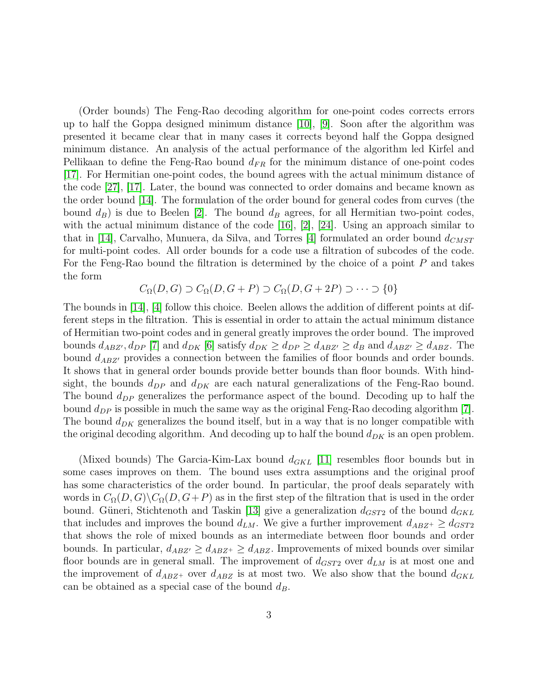(Order bounds) The Feng-Rao decoding algorithm for one-point codes corrects errors up to half the Goppa designed minimum distance [\[10\]](#page-26-6), [\[9\]](#page-26-7). Soon after the algorithm was presented it became clear that in many cases it corrects beyond half the Goppa designed minimum distance. An analysis of the actual performance of the algorithm led Kirfel and Pellikaan to define the Feng-Rao bound  $d_{FR}$  for the minimum distance of one-point codes [\[17\]](#page-26-5). For Hermitian one-point codes, the bound agrees with the actual minimum distance of the code [\[27\]](#page-27-4), [\[17\]](#page-26-5). Later, the bound was connected to order domains and became known as the order bound [\[14\]](#page-26-8). The formulation of the order bound for general codes from curves (the bound  $d_B$ ) is due to Beelen [\[2\]](#page-25-0). The bound  $d_B$  agrees, for all Hermitian two-point codes, with the actual minimum distance of the code [\[16\]](#page-26-9), [\[2\]](#page-25-0), [\[24\]](#page-27-5). Using an approach similar to that in [\[14\]](#page-26-8), Carvalho, Munuera, da Silva, and Torres [\[4\]](#page-25-3) formulated an order bound  $d_{CMST}$ for multi-point codes. All order bounds for a code use a filtration of subcodes of the code. For the Feng-Rao bound the filtration is determined by the choice of a point P and takes the form

$$
C_{\Omega}(D, G) \supset C_{\Omega}(D, G + P) \supset C_{\Omega}(D, G + 2P) \supset \cdots \supset \{0\}
$$

The bounds in [\[14\]](#page-26-8), [\[4\]](#page-25-3) follow this choice. Beelen allows the addition of different points at different steps in the filtration. This is essential in order to attain the actual minimum distance of Hermitian two-point codes and in general greatly improves the order bound. The improved bounds  $d_{ABZ'}$ ,  $d_{DP}$  [\[7\]](#page-26-1) and  $d_{DK}$  [\[6\]](#page-25-1) satisfy  $d_{DK} \geq d_{DP} \geq d_{ABZ'} \geq d_B$  and  $d_{ABZ'} \geq d_{ABZ}$ . The bound  $d_{ABZ'}$  provides a connection between the families of floor bounds and order bounds. It shows that in general order bounds provide better bounds than floor bounds. With hindsight, the bounds  $d_{DP}$  and  $d_{DK}$  are each natural generalizations of the Feng-Rao bound. The bound  $d_{DP}$  generalizes the performance aspect of the bound. Decoding up to half the bound  $d_{DP}$  is possible in much the same way as the original Feng-Rao decoding algorithm [\[7\]](#page-26-1). The bound  $d_{DK}$  generalizes the bound itself, but in a way that is no longer compatible with the original decoding algorithm. And decoding up to half the bound  $d_{DK}$  is an open problem.

(Mixed bounds) The Garcia-Kim-Lax bound  $d_{GKL}$  [\[11\]](#page-26-10) resembles floor bounds but in some cases improves on them. The bound uses extra assumptions and the original proof has some characteristics of the order bound. In particular, the proof deals separately with words in  $C_{\Omega}(D, G)\backslash C_{\Omega}(D, G+P)$  as in the first step of the filtration that is used in the order bound. Güneri, Stichtenoth and Taskin [\[13\]](#page-26-0) give a generalization  $d_{GST2}$  of the bound  $d_{GKL}$ that includes and improves the bound  $d_{LM}$ . We give a further improvement  $d_{ABZ^+} \geq d_{GST2}$ that shows the role of mixed bounds as an intermediate between floor bounds and order bounds. In particular,  $d_{ABZ'} \geq d_{ABZ^+} \geq d_{ABZ}$ . Improvements of mixed bounds over similar floor bounds are in general small. The improvement of  $d_{GST2}$  over  $d_{LM}$  is at most one and the improvement of  $d_{ABZ^+}$  over  $d_{ABZ}$  is at most two. We also show that the bound  $d_{GKL}$ can be obtained as a special case of the bound  $d_B$ .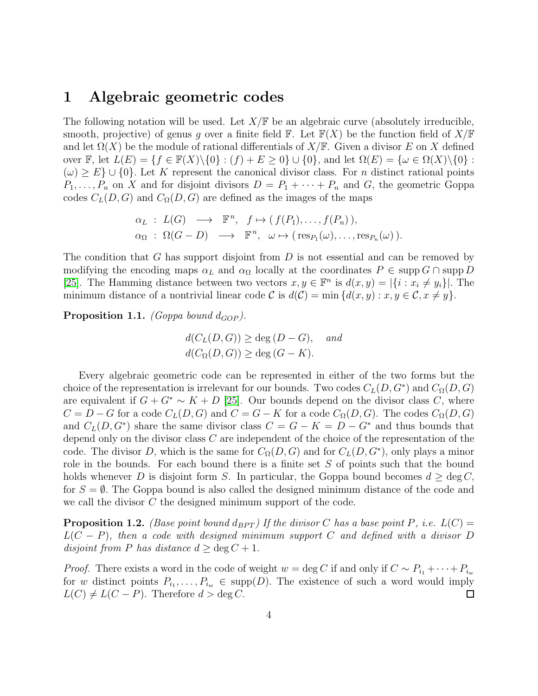#### 1 Algebraic geometric codes

The following notation will be used. Let  $X/\mathbb{F}$  be an algebraic curve (absolutely irreducible, smooth, projective) of genus g over a finite field  $\mathbb{F}$ . Let  $\mathbb{F}(X)$  be the function field of  $X/\mathbb{F}$ and let  $\Omega(X)$  be the module of rational differentials of  $X/\mathbb{F}$ . Given a divisor E on X defined over F, let  $L(E) = \{f \in \mathbb{F}(X) \setminus \{0\} : (f) + E \geq 0\} \cup \{0\}$ , and let  $\Omega(E) = \{\omega \in \Omega(X) \setminus \{0\} :$  $(\omega) \geq E$  ∪ {0}. Let K represent the canonical divisor class. For n distinct rational points  $P_1, \ldots, P_n$  on X and for disjoint divisors  $D = P_1 + \cdots + P_n$  and G, the geometric Goppa codes  $C_L(D, G)$  and  $C_{\Omega}(D, G)$  are defined as the images of the maps

$$
\begin{array}{rcl}\n\alpha_L : L(G) & \longrightarrow & \mathbb{F}^n, \quad f \mapsto (f(P_1), \dots, f(P_n)), \\
\alpha_{\Omega} : \Omega(G - D) & \longrightarrow & \mathbb{F}^n, \quad \omega \mapsto (\text{res}_{P_1}(\omega), \dots, \text{res}_{P_n}(\omega)).\n\end{array}
$$

The condition that G has support disjoint from  $D$  is not essential and can be removed by modifying the encoding maps  $\alpha_L$  and  $\alpha_{\Omega}$  locally at the coordinates  $P \in \text{supp } G \cap \text{supp } D$ [\[25\]](#page-27-6). The Hamming distance between two vectors  $x, y \in \mathbb{F}^n$  is  $d(x, y) = |\{i : x_i \neq y_i\}|$ . The minimum distance of a nontrivial linear code C is  $d(C) = \min \{d(x, y) : x, y \in C, x \neq y\}.$ 

**Proposition 1.1.** (Goppa bound  $d_{GOP}$ ).

$$
d(C_L(D, G)) \ge \deg(D - G), \quad and
$$
  

$$
d(C_{\Omega}(D, G)) \ge \deg(G - K).
$$

Every algebraic geometric code can be represented in either of the two forms but the choice of the representation is irrelevant for our bounds. Two codes  $C_L(D, G^*)$  and  $C_{\Omega}(D, G)$ are equivalent if  $G + G^* \sim K + D$  [\[25\]](#page-27-6). Our bounds depend on the divisor class C, where  $C = D - G$  for a code  $C<sub>L</sub>(D, G)$  and  $C = G - K$  for a code  $C<sub>Ω</sub>(D, G)$ . The codes  $C<sub>Ω</sub>(D, G)$ and  $C_L(D, G^*)$  share the same divisor class  $C = G - K = D - G^*$  and thus bounds that depend only on the divisor class C are independent of the choice of the representation of the code. The divisor D, which is the same for  $C_{\Omega}(D, G)$  and for  $C_{L}(D, G^*)$ , only plays a minor role in the bounds. For each bound there is a finite set S of points such that the bound holds whenever D is disjoint form S. In particular, the Goppa bound becomes  $d \ge \deg C$ , for  $S = \emptyset$ . The Goppa bound is also called the designed minimum distance of the code and we call the divisor C the designed minimum support of the code.

**Proposition 1.2.** (Base point bound  $d_{BPT}$ ) If the divisor C has a base point P, i.e.  $L(C)$  =  $L(C - P)$ , then a code with designed minimum support C and defined with a divisor D disjoint from P has distance  $d \ge \deg C + 1$ .

*Proof.* There exists a word in the code of weight  $w = \deg C$  if and only if  $C \sim P_{i_1} + \cdots + P_{i_w}$ for w distinct points  $P_{i_1}, \ldots, P_{i_w} \in \text{supp}(D)$ . The existence of such a word would imply  $L(C) \neq L(C - P)$ . Therefore  $d > \deg C$ .  $\Box$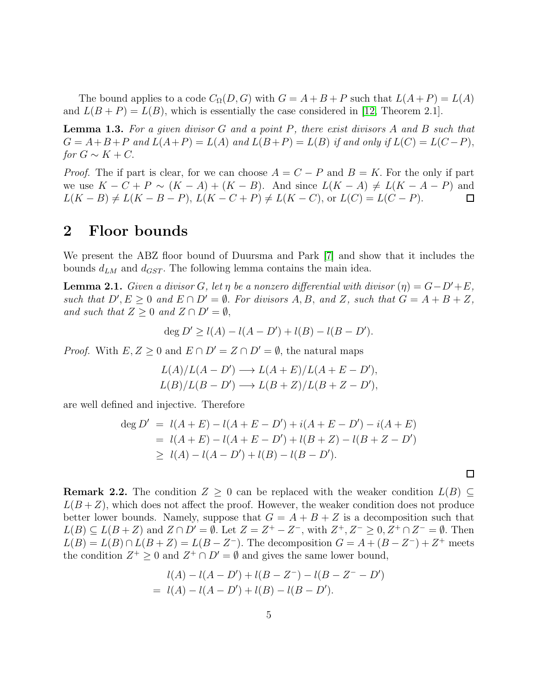The bound applies to a code  $C_{\Omega}(D, G)$  with  $G = A + B + P$  such that  $L(A + P) = L(A)$ and  $L(B + P) = L(B)$ , which is essentially the case considered in [\[12,](#page-26-4) Theorem 2.1].

**Lemma 1.3.** For a given divisor  $G$  and a point  $P$ , there exist divisors  $A$  and  $B$  such that  $G = A+B+P$  and  $L(A+P) = L(A)$  and  $L(B+P) = L(B)$  if and only if  $L(C) = L(C-P)$ , for  $G \sim K + C$ .

*Proof.* The if part is clear, for we can choose  $A = C - P$  and  $B = K$ . For the only if part we use  $K - C + P \sim (K - A) + (K - B)$ . And since  $L(K - A) \neq L(K - A - P)$  and  $L(K - B) \neq L(K - B - P), L(K - C + P) \neq L(K - C),$  or  $L(C) = L(C - P).$  $\Box$ 

### <span id="page-4-0"></span>2 Floor bounds

We present the ABZ floor bound of Duursma and Park [\[7\]](#page-26-1) and show that it includes the bounds  $d_{LM}$  and  $d_{GST}$ . The following lemma contains the main idea.

<span id="page-4-1"></span>**Lemma 2.1.** Given a divisor G, let  $\eta$  be a nonzero differential with divisor  $(\eta) = G - D' + E$ , such that  $D', E \geq 0$  and  $E \cap D' = \emptyset$ . For divisors A, B, and Z, such that  $G = A + B + Z$ , and such that  $Z \geq 0$  and  $Z \cap D' = \emptyset$ ,

$$
\deg D' \ge l(A) - l(A - D') + l(B) - l(B - D').
$$

*Proof.* With  $E, Z \geq 0$  and  $E \cap D' = Z \cap D' = \emptyset$ , the natural maps

$$
L(A)/L(A - D') \longrightarrow L(A + E)/L(A + E - D'),
$$
  

$$
L(B)/L(B - D') \longrightarrow L(B + Z)/L(B + Z - D'),
$$

are well defined and injective. Therefore

$$
\begin{aligned} \deg D' &= l(A+E) - l(A+E-D') + i(A+E-D') - i(A+E) \\ &= l(A+E) - l(A+E-D') + l(B+Z) - l(B+Z-D') \\ &\ge l(A) - l(A-D') + l(B) - l(B-D'). \end{aligned}
$$

 $\Box$ 

**Remark 2.2.** The condition  $Z \geq 0$  can be replaced with the weaker condition  $L(B) \subseteq$  $L(B+Z)$ , which does not affect the proof. However, the weaker condition does not produce better lower bounds. Namely, suppose that  $G = A + B + Z$  is a decomposition such that  $L(B) \subseteq L(B+Z)$  and  $Z \cap D' = \emptyset$ . Let  $Z = Z^+ - Z^-$ , with  $Z^+, Z^- \geq 0, Z^+ \cap Z^- = \emptyset$ . Then  $L(B) = L(B) \cap L(B + Z) = L(B - Z^{-})$ . The decomposition  $G = A + (B - Z^{-}) + Z^{+}$  meets the condition  $Z^+ \geq 0$  and  $Z^+ \cap D' = \emptyset$  and gives the same lower bound,

$$
l(A) - l(A - D') + l(B - Z^{-}) - l(B - Z^{-} - D')
$$
  
=  $l(A) - l(A - D') + l(B) - l(B - D').$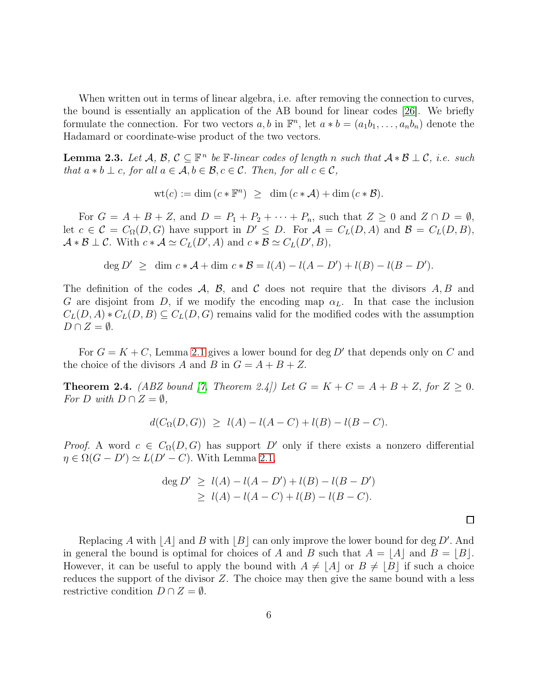When written out in terms of linear algebra, i.e. after removing the connection to curves, the bound is essentially an application of the AB bound for linear codes [\[26\]](#page-27-3). We briefly formulate the connection. For two vectors  $a, b$  in  $\mathbb{F}^n$ , let  $a * b = (a_1b_1, \ldots, a_nb_n)$  denote the Hadamard or coordinate-wise product of the two vectors.

**Lemma 2.3.** Let  $\mathcal{A}, \mathcal{B}, \mathcal{C} \subseteq \mathbb{F}^n$  be  $\mathbb{F}\text{-}linear codes$  of length n such that  $\mathcal{A} * \mathcal{B} \perp \mathcal{C}$ , i.e. such that  $a * b \perp c$ , for all  $a \in \mathcal{A}, b \in \mathcal{B}, c \in \mathcal{C}$ . Then, for all  $c \in \mathcal{C}$ ,

$$
\text{wt}(c) := \dim\left(c \ast \mathbb{F}^n\right) \geq \dim\left(c \ast \mathcal{A}\right) + \dim\left(c \ast \mathcal{B}\right).
$$

For  $G = A + B + Z$ , and  $D = P_1 + P_2 + \cdots + P_n$ , such that  $Z \geq 0$  and  $Z \cap D = \emptyset$ , let  $c \in \mathcal{C} = C_{\Omega}(D, G)$  have support in  $D' \leq D$ . For  $\mathcal{A} = C_{L}(D, A)$  and  $\mathcal{B} = C_{L}(D, B)$ ,  $\mathcal{A} * \mathcal{B} \perp \mathcal{C}$ . With  $c * \mathcal{A} \simeq C_L(D', A)$  and  $c * \mathcal{B} \simeq C_L(D', B)$ ,

$$
\deg D' \ge \dim c * A + \dim c * B = l(A) - l(A - D') + l(B) - l(B - D').
$$

The definition of the codes  $\mathcal{A}, \mathcal{B},$  and  $\mathcal C$  does not require that the divisors  $A, B$  and G are disjoint from D, if we modify the encoding map  $\alpha_L$ . In that case the inclusion  $C_L(D, A) * C_L(D, B) \subseteq C_L(D, G)$  remains valid for the modified codes with the assumption  $D \cap Z = \emptyset$ .

For  $G = K + C$ , Lemma [2.1](#page-4-1) gives a lower bound for deg D' that depends only on C and the choice of the divisors A and B in  $G = A + B + Z$ .

<span id="page-5-0"></span>**Theorem 2.4.** (ABZ bound [\[7,](#page-26-1) Theorem 2.4]) Let  $G = K + C = A + B + Z$ , for  $Z \ge 0$ . For D with  $D \cap Z = \emptyset$ ,

$$
d(C_{\Omega}(D, G)) \ge l(A) - l(A - C) + l(B) - l(B - C).
$$

*Proof.* A word  $c \in C_{\Omega}(D, G)$  has support D' only if there exists a nonzero differential  $\eta \in \Omega(G - D') \simeq L(D' - C)$ . With Lemma [2.1,](#page-4-1)

$$
\deg D' \ge l(A) - l(A - D') + l(B) - l(B - D')
$$
  
\n
$$
\ge l(A) - l(A - C) + l(B) - l(B - C).
$$

 $\Box$ 

Replacing A with  $[A]$  and B with  $[B]$  can only improve the lower bound for deg D'. And in general the bound is optimal for choices of A and B such that  $A = |A|$  and  $B = |B|$ . However, it can be useful to apply the bound with  $A \neq |A|$  or  $B \neq |B|$  if such a choice reduces the support of the divisor  $Z$ . The choice may then give the same bound with a less restrictive condition  $D \cap Z = \emptyset$ .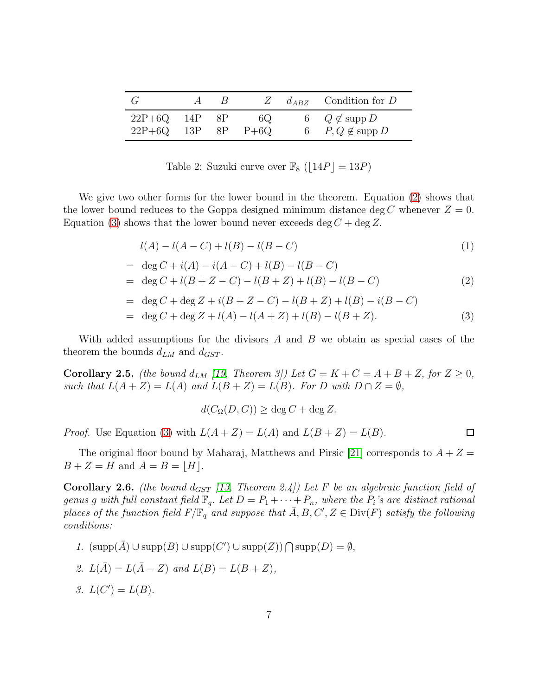|                                 | $\kappa$ | $\mathbb{Z}$  | $d_{ABZ}$ Condition for D                                   |
|---------------------------------|----------|---------------|-------------------------------------------------------------|
| $22P+6Q$ 14P<br>$22P+6Q$ 13P 8P | - 8P     | 6Q.<br>$P+6Q$ | $Q \notin \mathrm{supp} D$<br>$P, Q \notin \mathrm{supp} D$ |

Table 2: Suzuki curve over  $\mathbb{F}_8$  ( $|14P|=13P$ )

We give two other forms for the lower bound in the theorem. Equation [\(2\)](#page-6-0) shows that the lower bound reduces to the Goppa designed minimum distance deg C whenever  $Z = 0$ . Equation [\(3\)](#page-6-1) shows that the lower bound never exceeds deg  $C + \deg Z$ .

$$
l(A) - l(A - C) + l(B) - l(B - C)
$$
\n(1)

$$
= \deg C + i(A) - i(A - C) + l(B) - l(B - C)
$$
  

$$
= \deg C + l(B + Z - C) - l(B + Z) + l(B) - l(B - C)
$$
 (2)

$$
= \deg C + \deg Z + i(B + Z - C) - l(B + Z) + l(B) - i(B - C)
$$
  

$$
= \deg C + \deg Z + l(A) - l(A + Z) + l(B) - l(B + Z).
$$
 (3)

<span id="page-6-1"></span><span id="page-6-0"></span> $\Box$ 

With added assumptions for the divisors  $A$  and  $B$  we obtain as special cases of the theorem the bounds  $d_{LM}$  and  $d_{GST}$ .

<span id="page-6-3"></span>**Corollary 2.5.** (the bound  $d_{LM}$  [\[19,](#page-26-3) Theorem 3]) Let  $G = K + C = A + B + Z$ , for  $Z \ge 0$ , such that  $L(A+Z) = L(A)$  and  $L(B+Z) = L(B)$ . For D with  $D \cap Z = \emptyset$ ,

$$
d(C_{\Omega}(D, G)) \ge \deg C + \deg Z.
$$

*Proof.* Use Equation [\(3\)](#page-6-1) with  $L(A+Z) = L(A)$  and  $L(B+Z) = L(B)$ .

The original floor bound by Maharaj, Matthews and Pirsic [\[21\]](#page-27-2) corresponds to  $A + Z =$  $B + Z = H$  and  $A = B = |H|$ .

<span id="page-6-2"></span>Corollary 2.6. (the bound  $d_{GST}$  [\[13,](#page-26-0) Theorem 2.4]) Let F be an algebraic function field of genus g with full constant field  $\mathbb{F}_q$ . Let  $D = P_1 + \cdots + P_n$ , where the  $P_i$ 's are distinct rational places of the function field  $F/\mathbb{F}_q$  and suppose that  $\bar{A}, B, C', Z \in \text{Div}(F)$  satisfy the following conditions:

- 1.  $(supp(\overline{A}) \cup supp(B) \cup supp(C') \cup supp(Z)) \cap supp(D) = \emptyset$ , 2.  $L(\bar{A}) = L(\bar{A} - Z)$  and  $L(B) = L(B + Z)$ ,
- 3.  $L(C') = L(B)$ .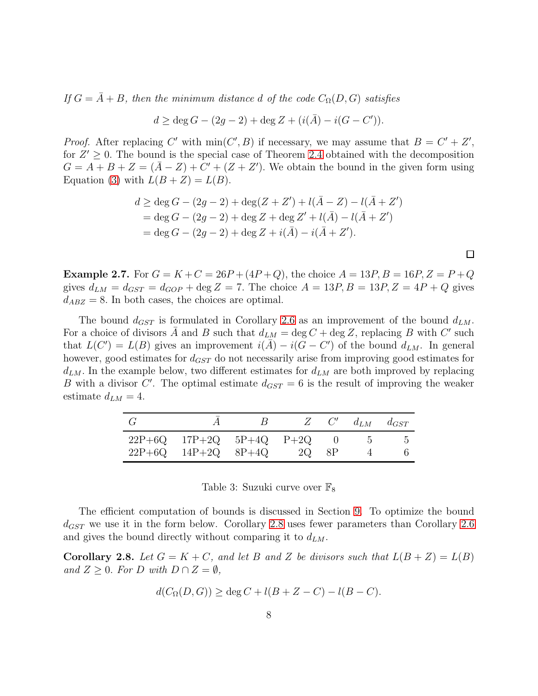If  $G = \overline{A} + B$ , then the minimum distance d of the code  $C_{\Omega}(D, G)$  satisfies

$$
d \ge \deg G - (2g - 2) + \deg Z + (i(\bar{A}) - i(G - C')).
$$

*Proof.* After replacing C' with  $\min(C', B)$  if necessary, we may assume that  $B = C' + Z'$ , for  $Z' \geq 0$ . The bound is the special case of Theorem [2.4](#page-5-0) obtained with the decomposition  $G = A + B + Z = (\overline{A} - Z) + C' + (Z + Z')$ . We obtain the bound in the given form using Equation [\(3\)](#page-6-1) with  $L(B+Z) = L(B)$ .

$$
d \ge \deg G - (2g - 2) + \deg(Z + Z') + l(\bar{A} - Z) - l(\bar{A} + Z')
$$
  
= deg G - (2g - 2) + deg Z + deg Z' + l(\bar{A}) - l(\bar{A} + Z')  
= deg G - (2g - 2) + deg Z + i(\bar{A}) - i(\bar{A} + Z').

 $\Box$ 

**Example 2.7.** For  $G = K + C = 26P + (4P + Q)$ , the choice  $A = 13P$ ,  $B = 16P$ ,  $Z = P + Q$ gives  $d_{LM} = d_{GST} = d_{GOP} + \text{deg } Z = 7$ . The choice  $A = 13P, B = 13P, Z = 4P + Q$  gives  $d_{ABZ} = 8$ . In both cases, the choices are optimal.

The bound  $d_{GST}$  is formulated in Corollary [2.6](#page-6-2) as an improvement of the bound  $d_{LM}$ . For a choice of divisors  $\overline{A}$  and  $B$  such that  $d_{LM} = \deg C + \deg Z$ , replacing B with C' such that  $L(C') = L(B)$  gives an improvement  $i(\bar{A}) - i(G - C')$  of the bound  $d_{LM}$ . In general however, good estimates for  $d_{GST}$  do not necessarily arise from improving good estimates for  $d_{LM}$ . In the example below, two different estimates for  $d_{LM}$  are both improved by replacing B with a divisor C'. The optimal estimate  $d_{GST} = 6$  is the result of improving the weaker estimate  $d_{LM} = 4$ .

|                                                               |       | $Z = C'$ | $d_{LM}$ $d_{GST}$ |
|---------------------------------------------------------------|-------|----------|--------------------|
| $22P+6Q$ $17P+2Q$ $5P+4Q$ $P+2Q$<br>$22P+6Q$ $14P+2Q$ $8P+4Q$ | 2Q 8P |          |                    |

Table 3: Suzuki curve over  $\mathbb{F}_8$ 

The efficient computation of bounds is discussed in Section [9.](#page-22-0) To optimize the bound  $d_{GST}$  we use it in the form below. Corollary [2.8](#page-7-0) uses fewer parameters than Corollary [2.6](#page-6-2) and gives the bound directly without comparing it to  $d_{LM}$ .

<span id="page-7-0"></span>**Corollary 2.8.** Let  $G = K + C$ , and let B and Z be divisors such that  $L(B + Z) = L(B)$ and  $Z \geq 0$ . For D with  $D \cap Z = \emptyset$ ,

$$
d(C_{\Omega}(D, G)) \ge \deg C + l(B + Z - C) - l(B - C).
$$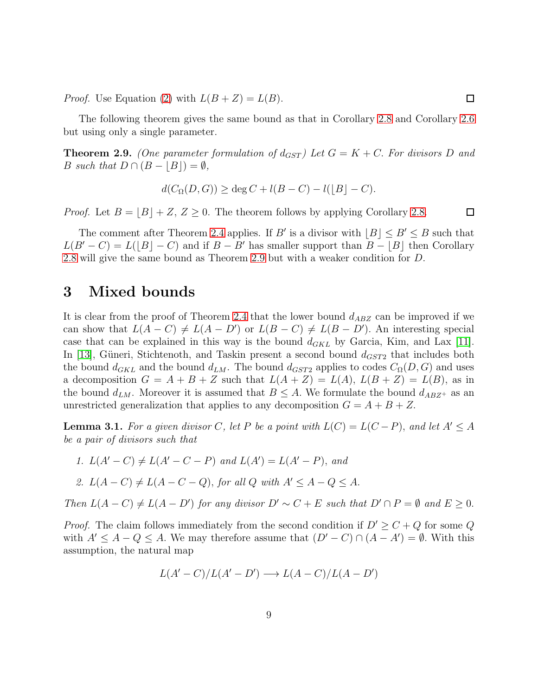*Proof.* Use Equation [\(2\)](#page-6-0) with  $L(B+Z) = L(B)$ .

The following theorem gives the same bound as that in Corollary [2.8](#page-7-0) and Corollary [2.6](#page-6-2) but using only a single parameter.

<span id="page-8-1"></span>**Theorem 2.9.** (One parameter formulation of  $d_{GST}$ ) Let  $G = K + C$ . For divisors D and B such that  $D \cap (B - |B|) = \emptyset$ ,

$$
d(C_{\Omega}(D, G)) \ge \deg C + l(B - C) - l(|B| - C).
$$

*Proof.* Let  $B = |B| + Z$ ,  $Z \ge 0$ . The theorem follows by applying Corollary [2.8.](#page-7-0)

The comment after Theorem [2.4](#page-5-0) applies. If B' is a divisor with  $\lfloor B \rfloor \le B' \le B$  such that  $L(B'-C) = L([B] - C)$  and if  $B - B'$  has smaller support than  $B - |B|$  then Corollary [2.8](#page-7-0) will give the same bound as Theorem [2.9](#page-8-1) but with a weaker condition for D.

### <span id="page-8-0"></span>3 Mixed bounds

It is clear from the proof of Theorem [2.4](#page-5-0) that the lower bound  $d_{ABZ}$  can be improved if we can show that  $L(A - C) \neq L(A - D')$  or  $L(B - C) \neq L(B - D')$ . An interesting special case that can be explained in this way is the bound  $d_{GKL}$  by Garcia, Kim, and Lax [\[11\]](#page-26-10). In [\[13\]](#page-26-0), Güneri, Stichtenoth, and Taskin present a second bound  $d_{GST2}$  that includes both the bound  $d_{GKL}$  and the bound  $d_{LM}$ . The bound  $d_{GST2}$  applies to codes  $C_{\Omega}(D, G)$  and uses a decomposition  $G = A + B + Z$  such that  $L(A + Z) = L(A), L(B + Z) = L(B)$ , as in the bound  $d_{LM}$ . Moreover it is assumed that  $B \leq A$ . We formulate the bound  $d_{ABZ^+}$  as an unrestricted generalization that applies to any decomposition  $G = A + B + Z$ .

<span id="page-8-2"></span>**Lemma 3.1.** For a given divisor C, let P be a point with  $L(C) = L(C - P)$ , and let  $A' \leq A$ be a pair of divisors such that

1.  $L(A' - C) \neq L(A' - C - P)$  and  $L(A') = L(A' - P)$ , and

2. 
$$
L(A-C) \neq L(A-C-Q)
$$
, for all Q with  $A' \leq A-Q \leq A$ .

Then  $L(A - C) \neq L(A - D')$  for any divisor  $D' \sim C + E$  such that  $D' \cap P = \emptyset$  and  $E \geq 0$ .

*Proof.* The claim follows immediately from the second condition if  $D' \geq C + Q$  for some Q with  $A' \leq A - Q \leq A$ . We may therefore assume that  $(D' - C) \cap (A - A') = \emptyset$ . With this assumption, the natural map

$$
L(A'-C)/L(A'-D') \longrightarrow L(A-C)/L(A-D')
$$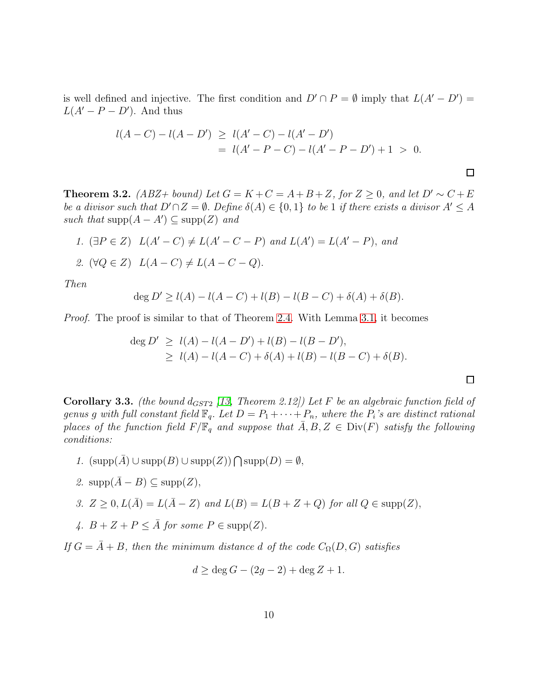is well defined and injective. The first condition and  $D' \cap P = \emptyset$  imply that  $L(A' - D') =$  $L(A' - P - D')$ . And thus

$$
l(A-C) - l(A-D') \ge l(A'-C) - l(A'-D')
$$
  
=  $l(A'-P-C) - l(A'-P-D') + 1 > 0.$ 

<span id="page-9-0"></span>**Theorem 3.2.** (ABZ+ bound) Let  $G = K + C = A + B + Z$ , for  $Z \ge 0$ , and let  $D' \sim C + E$ be a divisor such that  $D' \cap Z = \emptyset$ . Define  $\delta(A) \in \{0,1\}$  to be 1 if there exists a divisor  $A' \leq A$ such that  $\text{supp}(A - A') \subseteq \text{supp}(Z)$  and

1. 
$$
E(A' - C) \neq L(A' - C - P)
$$
 and 
$$
L(A') = L(A' - P)
$$
, and

$$
\mathcal{Z}.\ \ (\forall Q \in Z)\ \ L(A - C) \neq L(A - C - Q).
$$

Then

$$
\deg D' \ge l(A) - l(A - C) + l(B) - l(B - C) + \delta(A) + \delta(B).
$$

Proof. The proof is similar to that of Theorem [2.4.](#page-5-0) With Lemma [3.1,](#page-8-2) it becomes

$$
\begin{aligned} \deg D' &\ge l(A) - l(A - D') + l(B) - l(B - D'), \\ &\ge l(A) - l(A - C) + \delta(A) + l(B) - l(B - C) + \delta(B). \end{aligned}
$$

**Corollary 3.3.** (the bound  $d_{GST2}$  [\[13,](#page-26-0) Theorem 2.12]) Let F be an algebraic function field of genus g with full constant field  $\mathbb{F}_q$ . Let  $D = P_1 + \cdots + P_n$ , where the  $P_i$ 's are distinct rational places of the function field  $F/\mathbb{F}_q$  and suppose that  $A, B, Z \in Div(F)$  satisfy the following conditions:

- 1.  $(supp(\overline{A}) \cup supp(B) \cup supp(Z)) \cap supp(D) = \emptyset$ ,
- 2.  $\text{supp}(\bar{A} B) \subseteq \text{supp}(Z)$ ,

3. 
$$
Z \geq 0
$$
,  $L(\overline{A}) = L(\overline{A} - Z)$  and  $L(B) = L(B + Z + Q)$  for all  $Q \in \text{supp}(Z)$ ,

4.  $B + Z + P \leq \overline{A}$  for some  $P \in \text{supp}(Z)$ .

If  $G = \overline{A} + B$ , then the minimum distance d of the code  $C_{\Omega}(D, G)$  satisfies

$$
d \ge \deg G - (2g - 2) + \deg Z + 1.
$$

 $\Box$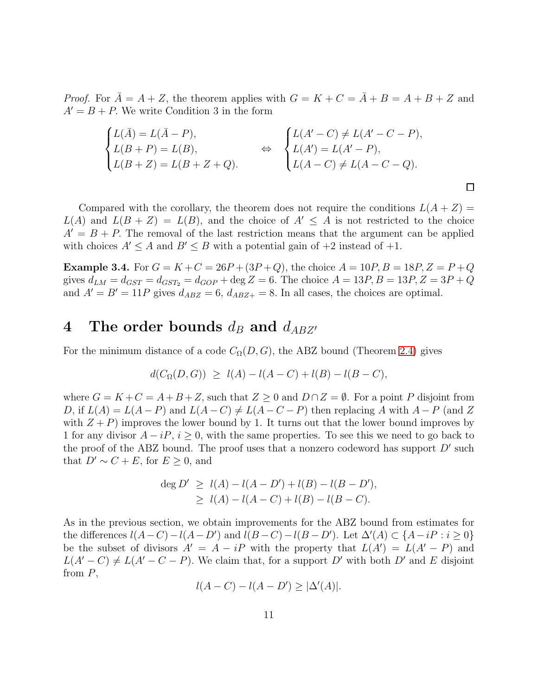*Proof.* For  $\overline{A} = A + Z$ , the theorem applies with  $G = K + C = \overline{A} + B = A + B + Z$  and  $A' = B + P$ . We write Condition 3 in the form

$$
\begin{cases}\nL(\bar{A}) = L(\bar{A} - P), \\
L(B + P) = L(B), \\
L(B + Z) = L(B + Z + Q).\n\end{cases}\n\Leftrightarrow\n\begin{cases}\nL(A' - C) \neq L(A' - C - P), \\
L(A') = L(A' - P), \\
L(A - C) \neq L(A - C - Q).\n\end{cases}
$$

Compared with the corollary, the theorem does not require the conditions  $L(A + Z) =$  $L(A)$  and  $L(B + Z) = L(B)$ , and the choice of  $A' \leq A$  is not restricted to the choice  $A' = B + P$ . The removal of the last restriction means that the argument can be applied with choices  $A' \leq A$  and  $B' \leq B$  with a potential gain of  $+2$  instead of  $+1$ .

 $\Box$ 

**Example 3.4.** For  $G = K + C = 26P + (3P + Q)$ , the choice  $A = 10P$ ,  $B = 18P$ ,  $Z = P + Q$ gives  $d_{LM} = d_{GST} = d_{GST} = d_{GOP} + \text{deg } Z = 6$ . The choice  $A = 13P, B = 13P, Z = 3P + Q$ and  $A' = B' = 11P$  gives  $d_{ABZ} = 6$ ,  $d_{ABZ+} = 8$ . In all cases, the choices are optimal.

# <span id="page-10-0"></span>4 The order bounds  $d_B$  and  $d_{ABZ'}$

For the minimum distance of a code  $C_{\Omega}(D, G)$ , the ABZ bound (Theorem [2.4\)](#page-5-0) gives

$$
d(C_{\Omega}(D, G)) \ge l(A) - l(A - C) + l(B) - l(B - C),
$$

where  $G = K + C = A + B + Z$ , such that  $Z \geq 0$  and  $D \cap Z = \emptyset$ . For a point P disjoint from D, if  $L(A) = L(A - P)$  and  $L(A - C) \neq L(A - C - P)$  then replacing A with  $A - P$  (and Z with  $Z + P$ ) improves the lower bound by 1. It turns out that the lower bound improves by 1 for any divisor  $A - iP$ ,  $i \geq 0$ , with the same properties. To see this we need to go back to the proof of the ABZ bound. The proof uses that a nonzero codeword has support  $D'$  such that  $D' \sim C + E$ , for  $E \geq 0$ , and

$$
\deg D' \ge l(A) - l(A - D') + l(B) - l(B - D'),
$$
  
\n
$$
\ge l(A) - l(A - C) + l(B) - l(B - C).
$$

As in the previous section, we obtain improvements for the ABZ bound from estimates for the differences  $l(A - C) - l(A - D')$  and  $l(B - C) - l(B - D')$ . Let  $\Delta'(A) \subset \{A - iP : i \geq 0\}$ be the subset of divisors  $A' = A - iP$  with the property that  $L(A') = L(A' - P)$  and  $L(A'-C) \neq L(A'-C-P)$ . We claim that, for a support D' with both D' and E disjoint from  $P$ ,

 $l(A - C) - l(A - D') \ge |\Delta'(A)|.$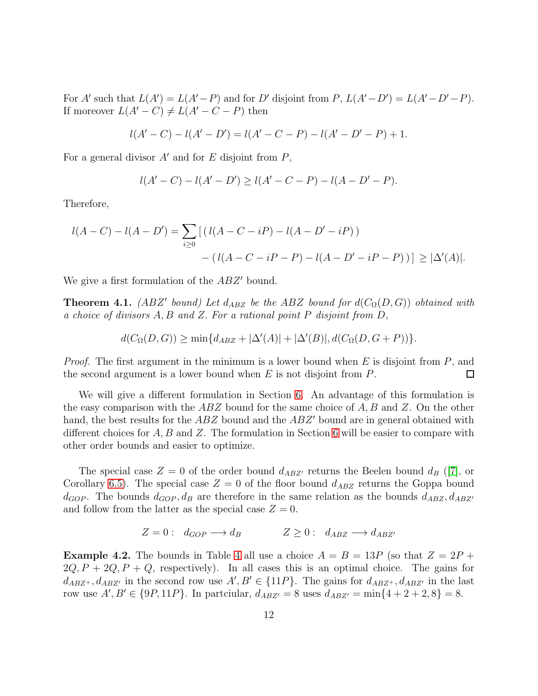For A' such that  $L(A') = L(A'-P)$  and for D' disjoint from  $P, L(A'-D') = L(A'-D'-P)$ . If moreover  $L(A'-C) \neq L(A'-C-P)$  then

$$
l(A'-C) - l(A'-D') = l(A'-C-P) - l(A'-D'-P) + 1.
$$

For a general divisor  $A'$  and for E disjoint from  $P$ ,

$$
l(A'-C) - l(A'-D') \ge l(A'-C-P) - l(A-D'-P).
$$

Therefore,

$$
l(A - C) - l(A - D') = \sum_{i \ge 0} \left[ (l(A - C - iP) - l(A - D' - iP)) - (l(A - C - iP - P) - l(A - D' - iP - P)) \right] \ge |\Delta'(A)|.
$$

We give a first formulation of the ABZ' bound.

<span id="page-11-0"></span>**Theorem 4.1.** (ABZ' bound) Let  $d_{ABZ}$  be the ABZ bound for  $d(C_{\Omega}(D, G))$  obtained with a choice of divisors A, B and Z. For a rational point P disjoint from D,

$$
d(C_{\Omega}(D, G)) \ge \min\{d_{ABZ} + |\Delta'(A)| + |\Delta'(B)|, d(C_{\Omega}(D, G + P))\}.
$$

*Proof.* The first argument in the minimum is a lower bound when  $E$  is disjoint from  $P$ , and the second argument is a lower bound when  $E$  is not disjoint from  $P$ . □

We will give a different formulation in Section [6.](#page-15-0) An advantage of this formulation is the easy comparison with the  $ABZ$  bound for the same choice of A, B and Z. On the other hand, the best results for the  $ABZ$  bound and the  $ABZ'$  bound are in general obtained with different choices for  $A, B$  and  $Z$ . The formulation in Section [6](#page-15-0) will be easier to compare with other order bounds and easier to optimize.

The special case  $Z = 0$  of the order bound  $d_{ABZ'}$  returns the Beelen bound  $d_B$  ([\[7\]](#page-26-1), or Corollary [6.5\)](#page-17-0). The special case  $Z = 0$  of the floor bound  $d_{ABZ}$  returns the Goppa bound  $d_{GOP}$ . The bounds  $d_{GOP}$ ,  $d_B$  are therefore in the same relation as the bounds  $d_{ABZ}$ ,  $d_{ABZ'}$ and follow from the latter as the special case  $Z = 0$ .

$$
Z = 0: d_{GOP} \longrightarrow d_B \qquad Z \ge 0: d_{ABZ} \longrightarrow d_{ABZ'}
$$

**Example [4](#page-12-1).2.** The bounds in Table 4 all use a choice  $A = B = 13P$  (so that  $Z = 2P +$  $2Q, P + 2Q, P + Q$ , respectively). In all cases this is an optimal choice. The gains for  $d_{ABZ^+}, d_{ABZ'}$  in the second row use  $A', B' \in \{11P\}$ . The gains for  $d_{ABZ^+}, d_{ABZ'}$  in the last row use  $A', B' \in \{9P, 11P\}$ . In partciular,  $d_{ABZ'} = 8$  uses  $d_{ABZ'} = \min\{4 + 2 + 2, 8\} = 8$ .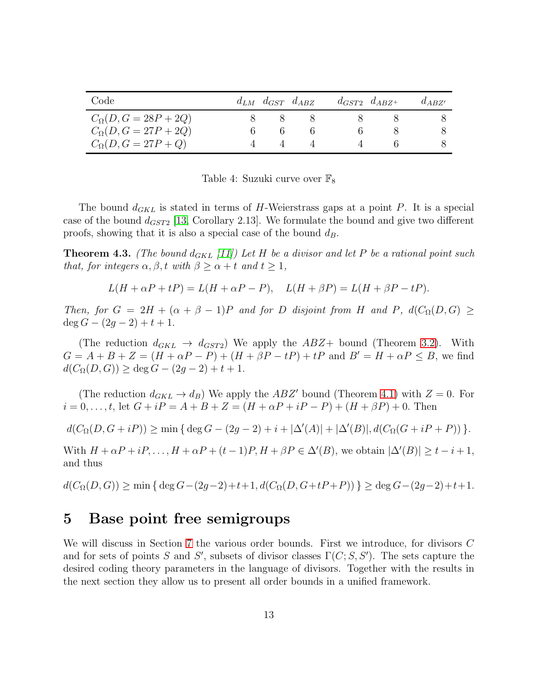| Code                                                                                           | $d_{LM}$ $d_{GST}$ $d_{ABZ}$ | $d_{GST2}$ $d_{ABZ+}$ | $d_{ABZ'}$ |
|------------------------------------------------------------------------------------------------|------------------------------|-----------------------|------------|
| $C_{\Omega}(D, G = 28P + 2Q)$<br>$C_{\Omega}(D, G = 27P + 2Q)$<br>$C_{\Omega}(D, G = 27P + Q)$ |                              |                       |            |

<span id="page-12-1"></span>

| Table 4: Suzuki curve over $\mathbb{F}_8$ |  |  |
|-------------------------------------------|--|--|
|                                           |  |  |

The bound  $d_{GKL}$  is stated in terms of H-Weierstrass gaps at a point P. It is a special case of the bound  $d_{GST2}$  [\[13,](#page-26-0) Corollary 2.13]. We formulate the bound and give two different proofs, showing that it is also a special case of the bound  $d_B$ .

**Theorem 4.3.** (The bound  $d_{GKL}$  [\[11\]](#page-26-10)) Let H be a divisor and let P be a rational point such that, for integers  $\alpha, \beta, t$  with  $\beta \geq \alpha + t$  and  $t \geq 1$ ,

$$
L(H + \alpha P + tP) = L(H + \alpha P - P), \quad L(H + \beta P) = L(H + \beta P - tP).
$$

Then, for  $G = 2H + (\alpha + \beta - 1)P$  and for D disjoint from H and P,  $d(C_{\Omega}(D, G)) \ge$  $\deg G - (2g - 2) + t + 1.$ 

(The reduction  $d_{GKL} \rightarrow d_{GST2}$ ) We apply the  $ABZ+$  bound (Theorem [3.2\)](#page-9-0). With  $G = A + B + Z = (H + \alpha P - P) + (H + \beta P - tP) + tP$  and  $B' = H + \alpha P \leq B$ , we find  $d(C_{\Omega}(D, G)) > \deg G - (2q - 2) + t + 1.$ 

(The reduction  $d_{GKL} \rightarrow d_B$ ) We apply the ABZ' bound (Theorem [4.1\)](#page-11-0) with  $Z = 0$ . For  $i = 0, \ldots, t$ , let  $G + iP = A + B + Z = (H + \alpha P + iP - P) + (H + \beta P) + 0$ . Then

 $d(C_{\Omega}(D, G + iP)) \ge \min \{ \deg G - (2g - 2) + i + |\Delta'(A)| + |\Delta'(B)|, d(C_{\Omega}(G + iP + P)) \}.$ 

With  $H + \alpha P + iP, \ldots, H + \alpha P + (t - 1)P, H + \beta P \in \Delta'(B)$ , we obtain  $|\Delta'(B)| \ge t - i + 1$ , and thus

 $d(C_{\Omega}(D, G))$  > min { deg  $G-(2q-2)+t+1$ ,  $d(C_{\Omega}(D, G+tP+P))$  } > deg  $G-(2q-2)+t+1$ .

#### <span id="page-12-0"></span>5 Base point free semigroups

We will discuss in Section [7](#page-19-1) the various order bounds. First we introduce, for divisors C and for sets of points S and S', subsets of divisor classes  $\Gamma(C; S, S')$ . The sets capture the desired coding theory parameters in the language of divisors. Together with the results in the next section they allow us to present all order bounds in a unified framework.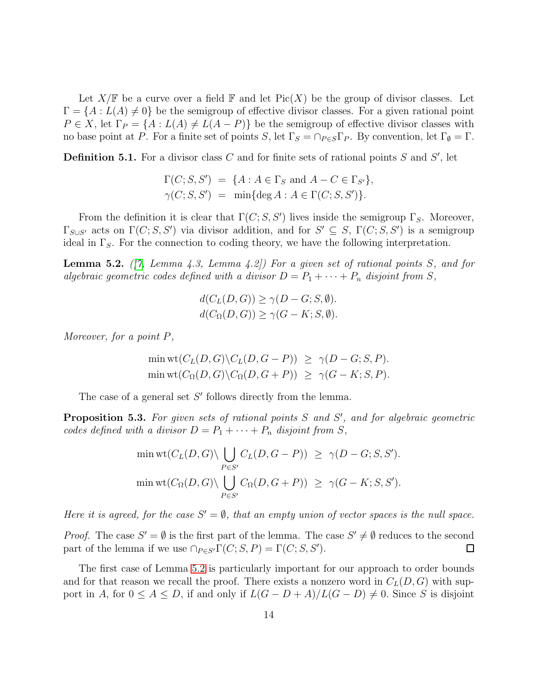Let  $X/\mathbb{F}$  be a curve over a field  $\mathbb{F}$  and let Pic(X) be the group of divisor classes. Let  $\Gamma = \{A : L(A) \neq 0\}$  be the semigroup of effective divisor classes. For a given rational point  $P \in X$ , let  $\Gamma_P = \{A : L(A) \neq L(A - P)\}$  be the semigroup of effective divisor classes with no base point at P. For a finite set of points S, let  $\Gamma_S = \cap_{P \in S} \Gamma_P$ . By convention, let  $\Gamma_{\emptyset} = \Gamma$ .

**Definition 5.1.** For a divisor class C and for finite sets of rational points S and S', let

$$
\Gamma(C; S, S') = \{A : A \in \Gamma_S \text{ and } A - C \in \Gamma_{S'}\},\
$$
  

$$
\gamma(C; S, S') = \min{\text{deg }A : A \in \Gamma(C; S, S')\}.
$$

From the definition it is clear that  $\Gamma(C; S, S')$  lives inside the semigroup  $\Gamma_S$ . Moreover,  $\Gamma_{S\cup S'}$  acts on  $\Gamma(C; S, S')$  via divisor addition, and for  $S' \subseteq S$ ,  $\Gamma(C; S, S')$  is a semigroup ideal in  $\Gamma_{\mathcal{S}}$ . For the connection to coding theory, we have the following interpretation.

<span id="page-13-0"></span>**Lemma 5.2.** ( $[7, Lemma 4.3, Lemma 4.2]$  $[7, Lemma 4.3, Lemma 4.2]$ ) For a given set of rational points S, and for algebraic geometric codes defined with a divisor  $D = P_1 + \cdots + P_n$  disjoint from S,

$$
d(C_L(D, G)) \ge \gamma(D - G; S, \emptyset).
$$
  

$$
d(C_{\Omega}(D, G)) \ge \gamma(G - K; S, \emptyset).
$$

Moreover, for a point P,

$$
\min \text{wt}(C_L(D, G)\backslash C_L(D, G - P)) \ge \gamma(D - G; S, P).
$$
  

$$
\min \text{wt}(C_{\Omega}(D, G)\backslash C_{\Omega}(D, G + P)) \ge \gamma(G - K; S, P).
$$

The case of a general set  $S'$  follows directly from the lemma.

**Proposition 5.3.** For given sets of rational points  $S$  and  $S'$ , and for algebraic geometric codes defined with a divisor  $D = P_1 + \cdots + P_n$  disjoint from S,

$$
\min \text{wt}(C_L(D, G) \setminus \bigcup_{P \in S'} C_L(D, G - P)) \ge \gamma(D - G; S, S').
$$
  

$$
\min \text{wt}(C_{\Omega}(D, G) \setminus \bigcup_{P \in S'} C_{\Omega}(D, G + P)) \ge \gamma(G - K; S, S').
$$

Here it is agreed, for the case  $S' = \emptyset$ , that an empty union of vector spaces is the null space.

*Proof.* The case  $S' = \emptyset$  is the first part of the lemma. The case  $S' \neq \emptyset$  reduces to the second part of the lemma if we use  $\bigcap_{P \in S'} \Gamma(C; S, P) = \Gamma(C; S, S').$  $\Box$ 

The first case of Lemma [5.2](#page-13-0) is particularly important for our approach to order bounds and for that reason we recall the proof. There exists a nonzero word in  $C<sub>L</sub>(D, G)$  with support in A, for  $0 \le A \le D$ , if and only if  $L(G - D + A)/L(G - D) \ne 0$ . Since S is disjoint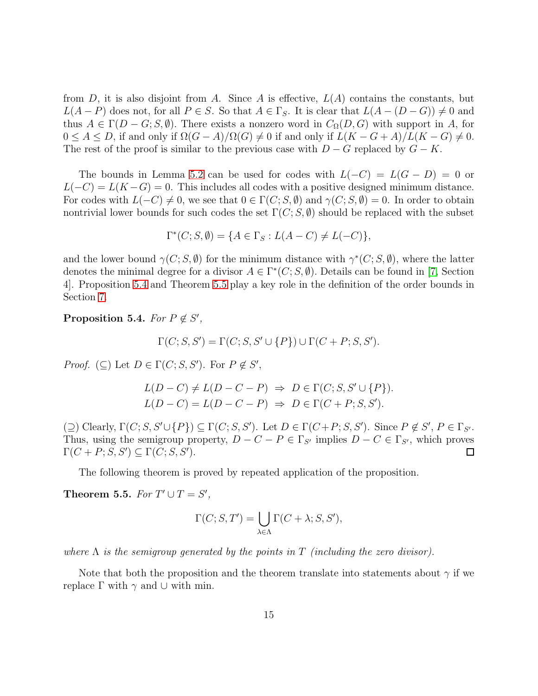from D, it is also disjoint from A. Since A is effective,  $L(A)$  contains the constants, but  $L(A - P)$  does not, for all  $P \in S$ . So that  $A \in \Gamma_S$ . It is clear that  $L(A - (D - G)) \neq 0$  and thus  $A \in \Gamma(D-G; S, \emptyset)$ . There exists a nonzero word in  $C_{\Omega}(D, G)$  with support in A, for  $0 \leq A \leq D$ , if and only if  $\Omega(G-A)/\Omega(G) \neq 0$  if and only if  $L(K-G+A)/L(K-G) \neq 0$ . The rest of the proof is similar to the previous case with  $D - G$  replaced by  $G - K$ .

The bounds in Lemma [5.2](#page-13-0) can be used for codes with  $L(-C) = L(G - D) = 0$  or  $L(-C) = L(K - G) = 0$ . This includes all codes with a positive designed minimum distance. For codes with  $L(-C) \neq 0$ , we see that  $0 \in \Gamma(C; S, \emptyset)$  and  $\gamma(C; S, \emptyset) = 0$ . In order to obtain nontrivial lower bounds for such codes the set  $\Gamma(C; S, \emptyset)$  should be replaced with the subset

$$
\Gamma^*(C; S, \emptyset) = \{ A \in \Gamma_S : L(A - C) \neq L(-C) \},
$$

and the lower bound  $\gamma(C; S, \emptyset)$  for the minimum distance with  $\gamma^*(C; S, \emptyset)$ , where the latter denotes the minimal degree for a divisor  $A \in \Gamma^*(C; S, \emptyset)$ . Details can be found in [\[7,](#page-26-1) Section 4]. Proposition [5.4](#page-14-0) and Theorem [5.5](#page-14-1) play a key role in the definition of the order bounds in Section [7.](#page-19-1)

<span id="page-14-0"></span>Proposition 5.4. For  $P \notin S'$ ,

$$
\Gamma(C; S, S') = \Gamma(C; S, S' \cup \{P\}) \cup \Gamma(C + P; S, S').
$$

*Proof.* ( $\subseteq$ ) Let  $D \in \Gamma(C; S, S')$ . For  $P \notin S'$ ,

$$
L(D - C) \neq L(D - C - P) \Rightarrow D \in \Gamma(C; S, S' \cup \{P\}).
$$
  

$$
L(D - C) = L(D - C - P) \Rightarrow D \in \Gamma(C + P; S, S').
$$

 $(\supseteq)$  Clearly,  $\Gamma(C; S, S' \cup \{P\}) \subseteq \Gamma(C; S, S')$ . Let  $D \in \Gamma(C + P; S, S')$ . Since  $P \notin S'$ ,  $P \in \Gamma_{S'}$ . Thus, using the semigroup property,  $D - C - P \in \Gamma_{S'}$  implies  $D - C \in \Gamma_{S'}$ , which proves  $\Gamma(C + P; S, S') \subseteq \Gamma(C; S, S').$  $\Box$ 

The following theorem is proved by repeated application of the proposition.

<span id="page-14-1"></span>Theorem 5.5. For  $T' \cup T = S'$ ,

$$
\Gamma(C; S, T') = \bigcup_{\lambda \in \Lambda} \Gamma(C + \lambda; S, S'),
$$

where  $\Lambda$  is the semigroup generated by the points in T (including the zero divisor).

Note that both the proposition and the theorem translate into statements about  $\gamma$  if we replace Γ with  $\gamma$  and ∪ with min.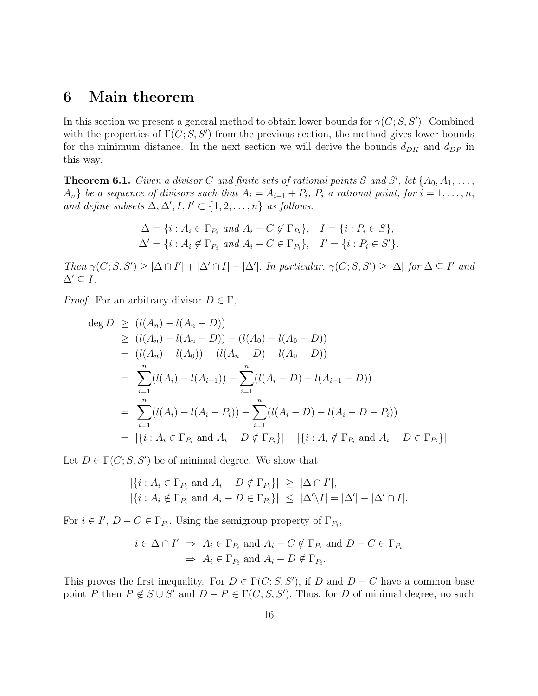## <span id="page-15-0"></span>6 Main theorem

In this section we present a general method to obtain lower bounds for  $\gamma(C; S, S')$ . Combined with the properties of  $\Gamma(C; S, S')$  from the previous section, the method gives lower bounds for the minimum distance. In the next section we will derive the bounds  $d_{DK}$  and  $d_{DP}$  in this way.

<span id="page-15-1"></span>**Theorem 6.1.** Given a divisor C and finite sets of rational points S and S', let  $\{A_0, A_1, \ldots, A_n\}$  $\{A_n\}$  be a sequence of divisors such that  $A_i = A_{i-1} + P_i$ ,  $P_i$  a rational point, for  $i = 1, \ldots, n$ , and define subsets  $\Delta, \Delta', I, I' \subset \{1, 2, \ldots, n\}$  as follows.

$$
\Delta = \{i : A_i \in \Gamma_{P_i} \text{ and } A_i - C \notin \Gamma_{P_i}\}, \quad I = \{i : P_i \in S\},\
$$
  

$$
\Delta' = \{i : A_i \notin \Gamma_{P_i} \text{ and } A_i - C \in \Gamma_{P_i}\}, \quad I' = \{i : P_i \in S'\}.
$$

Then  $\gamma(C; S, S') \geq |\Delta \cap I'| + |\Delta' \cap I| - |\Delta'|$ . In particular,  $\gamma(C; S, S') \geq |\Delta|$  for  $\Delta \subseteq I'$  and  $\Delta' \subseteq I$ .

*Proof.* For an arbitrary divisor  $D \in \Gamma$ ,

$$
\begin{aligned}\n\deg D &\geq (l(A_n) - l(A_n - D)) \\
&\geq (l(A_n) - l(A_n - D)) - (l(A_0) - l(A_0 - D)) \\
&= (l(A_n) - l(A_0)) - (l(A_n - D) - l(A_0 - D)) \\
&= \sum_{i=1}^n (l(A_i) - l(A_{i-1})) - \sum_{i=1}^n (l(A_i - D) - l(A_{i-1} - D)) \\
&= \sum_{i=1}^n (l(A_i) - l(A_i - P_i)) - \sum_{i=1}^n (l(A_i - D) - l(A_i - D - P_i)) \\
&= |\{i : A_i \in \Gamma_{P_i} \text{ and } A_i - D \notin \Gamma_{P_i}\}| - |\{i : A_i \notin \Gamma_{P_i} \text{ and } A_i - D \in \Gamma_{P_i}\}|.\n\end{aligned}
$$

Let  $D \in \Gamma(C; S, S')$  be of minimal degree. We show that

$$
\begin{aligned} |\{i: A_i \in \Gamma_{P_i} \text{ and } A_i - D \notin \Gamma_{P_i}\}| &\geq |\Delta \cap I'|, \\ |\{i: A_i \notin \Gamma_{P_i} \text{ and } A_i - D \in \Gamma_{P_i}\}| &\leq |\Delta' \backslash I| = |\Delta'| - |\Delta' \cap I|. \end{aligned}
$$

For  $i \in I'$ ,  $D - C \in \Gamma_{P_i}$ . Using the semigroup property of  $\Gamma_{P_i}$ ,

$$
i \in \Delta \cap I' \implies A_i \in \Gamma_{P_i} \text{ and } A_i - C \notin \Gamma_{P_i} \text{ and } D - C \in \Gamma_{P_i}
$$

$$
\implies A_i \in \Gamma_{P_i} \text{ and } A_i - D \notin \Gamma_{P_i}.
$$

This proves the first inequality. For  $D \in \Gamma(C; S, S')$ , if D and  $D - C$  have a common base point P then  $P \notin S \cup S'$  and  $D - P \in \Gamma(C; S, S')$ . Thus, for D of minimal degree, no such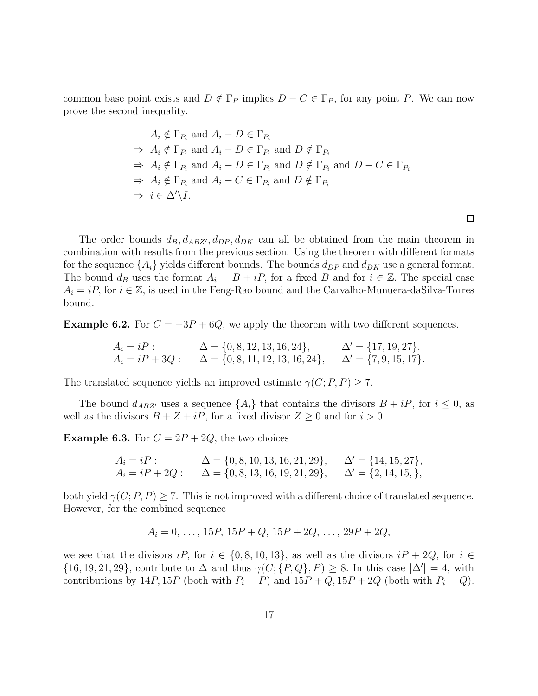common base point exists and  $D \notin \Gamma_P$  implies  $D - C \in \Gamma_P$ , for any point P. We can now prove the second inequality.

$$
A_i \notin \Gamma_{P_i} \text{ and } A_i - D \in \Gamma_{P_i}
$$
  
\n
$$
\Rightarrow A_i \notin \Gamma_{P_i} \text{ and } A_i - D \in \Gamma_{P_i} \text{ and } D \notin \Gamma_{P_i}
$$
  
\n
$$
\Rightarrow A_i \notin \Gamma_{P_i} \text{ and } A_i - D \in \Gamma_{P_i} \text{ and } D \notin \Gamma_{P_i} \text{ and } D - C \in \Gamma_{P_i}
$$
  
\n
$$
\Rightarrow A_i \notin \Gamma_{P_i} \text{ and } A_i - C \in \Gamma_{P_i} \text{ and } D \notin \Gamma_{P_i}
$$
  
\n
$$
\Rightarrow i \in \Delta' \setminus I.
$$

The order bounds  $d_B, d_{ABZ'}, d_{DP}, d_{DK}$  can all be obtained from the main theorem in combination with results from the previous section. Using the theorem with different formats for the sequence  $\{A_i\}$  yields different bounds. The bounds  $d_{DP}$  and  $d_{DK}$  use a general format. The bound  $d_B$  uses the format  $A_i = B + iP$ , for a fixed B and for  $i \in \mathbb{Z}$ . The special case  $A_i = iP$ , for  $i \in \mathbb{Z}$ , is used in the Feng-Rao bound and the Carvalho-Munuera-daSilva-Torres bound.

**Example 6.2.** For  $C = -3P + 6Q$ , we apply the theorem with two different sequences.

$$
A_i = iP: \qquad \Delta = \{0, 8, 12, 13, 16, 24\}, \qquad \Delta' = \{17, 19, 27\}.
$$
  
\n
$$
A_i = iP + 3Q: \qquad \Delta = \{0, 8, 11, 12, 13, 16, 24\}, \qquad \Delta' = \{7, 9, 15, 17\}.
$$

The translated sequence yields an improved estimate  $\gamma(C; P, P) > 7$ .

The bound  $d_{ABZ'}$  uses a sequence  $\{A_i\}$  that contains the divisors  $B + iP$ , for  $i \leq 0$ , as well as the divisors  $B + Z + iP$ , for a fixed divisor  $Z \ge 0$  and for  $i > 0$ .

**Example 6.3.** For  $C = 2P + 2Q$ , the two choices

$$
A_i = iP: \qquad \Delta = \{0, 8, 10, 13, 16, 21, 29\}, \qquad \Delta' = \{14, 15, 27\},
$$
  
\n
$$
A_i = iP + 2Q: \qquad \Delta = \{0, 8, 13, 16, 19, 21, 29\}, \qquad \Delta' = \{2, 14, 15, \},
$$

both yield  $\gamma(C; P, P) \geq 7$ . This is not improved with a different choice of translated sequence. However, for the combined sequence

$$
A_i = 0, \ldots, 15P, 15P + Q, 15P + 2Q, \ldots, 29P + 2Q,
$$

we see that the divisors  $iP$ , for  $i \in \{0, 8, 10, 13\}$ , as well as the divisors  $iP + 2Q$ , for  $i \in$  $\{16, 19, 21, 29\}$ , contribute to  $\Delta$  and thus  $\gamma(C; \{P, Q\}, P) \geq 8$ . In this case  $|\Delta'| = 4$ , with contributions by 14P, 15P (both with  $P_i = P$ ) and  $15P + Q$ ,  $15P + 2Q$  (both with  $P_i = Q$ ).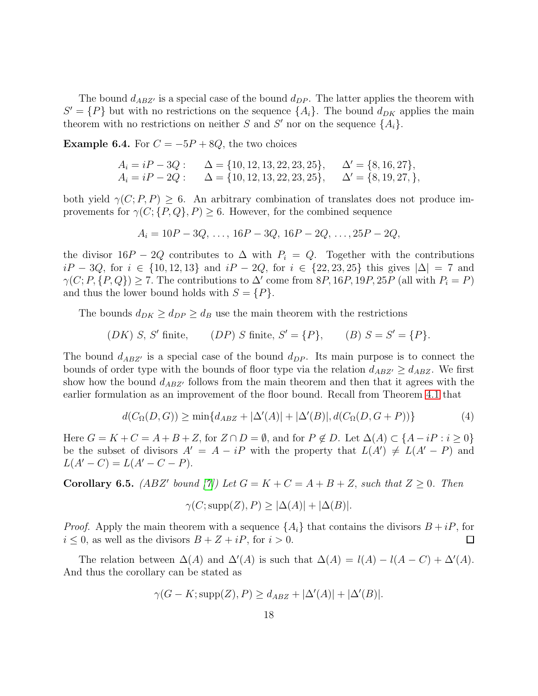The bound  $d_{ABZ'}$  is a special case of the bound  $d_{DP}$ . The latter applies the theorem with  $S' = \{P\}$  but with no restrictions on the sequence  $\{A_i\}$ . The bound  $d_{DK}$  applies the main theorem with no restrictions on neither S and S' nor on the sequence  $\{A_i\}$ .

<span id="page-17-2"></span>**Example 6.4.** For  $C = -5P + 8Q$ , the two choices

$$
A_i = iP - 3Q: \quad \Delta = \{10, 12, 13, 22, 23, 25\}, \quad \Delta' = \{8, 16, 27\},
$$
  
\n
$$
A_i = iP - 2Q: \quad \Delta = \{10, 12, 13, 22, 23, 25\}, \quad \Delta' = \{8, 19, 27, \},
$$

both yield  $\gamma(C; P, P) \geq 6$ . An arbitrary combination of translates does not produce improvements for  $\gamma(C; \{P, Q\}, P) \geq 6$ . However, for the combined sequence

$$
A_i = 10P - 3Q, \ldots, 16P - 3Q, 16P - 2Q, \ldots, 25P - 2Q,
$$

the divisor  $16P - 2Q$  contributes to  $\Delta$  with  $P_i = Q$ . Together with the contributions  $iP - 3Q$ , for  $i \in \{10, 12, 13\}$  and  $iP - 2Q$ , for  $i \in \{22, 23, 25\}$  this gives  $|\Delta| = 7$  and  $\gamma(C; P, \{P, Q\}) \geq 7$ . The contributions to  $\Delta'$  come from 8P, 16P, 19P, 25P (all with  $P_i = P$ ) and thus the lower bound holds with  $S = \{P\}.$ 

The bounds  $d_{DK} \geq d_{DP} \geq d_B$  use the main theorem with the restrictions

 $(DK)$  S, S' finite, finite,  $(DP) S$  finite,  $S' = \{P\}$ ,  $(B) S = S' = \{P\}$ .

The bound  $d_{ABZ'}$  is a special case of the bound  $d_{DP}$ . Its main purpose is to connect the bounds of order type with the bounds of floor type via the relation  $d_{ABZ'} \geq d_{ABZ}$ . We first show how the bound  $d_{ABZ'}$  follows from the main theorem and then that it agrees with the earlier formulation as an improvement of the floor bound. Recall from Theorem [4.1](#page-11-0) that

<span id="page-17-1"></span>
$$
d(C_{\Omega}(D, G)) \ge \min\{d_{ABZ} + |\Delta'(A)| + |\Delta'(B)|, d(C_{\Omega}(D, G + P))\}
$$
\n(4)

Here  $G = K + C = A + B + Z$ , for  $Z \cap D = \emptyset$ , and for  $P \notin D$ . Let  $\Delta(A) \subset \{A - iP : i \ge 0\}$ be the subset of divisors  $A' = A - iP$  with the property that  $L(A') \neq L(A' - P)$  and  $L(A'-C) = L(A'-C-P).$ 

<span id="page-17-0"></span>**Corollary 6.5.** (ABZ' bound [\[7\]](#page-26-1)) Let  $G = K + C = A + B + Z$ , such that  $Z \ge 0$ . Then

$$
\gamma(C; \text{supp}(Z), P) \ge |\Delta(A)| + |\Delta(B)|.
$$

*Proof.* Apply the main theorem with a sequence  $\{A_i\}$  that contains the divisors  $B + iP$ , for  $i \leq 0$ , as well as the divisors  $B + Z + iP$ , for  $i > 0$ .  $\Box$ 

The relation between  $\Delta(A)$  and  $\Delta'(A)$  is such that  $\Delta(A) = l(A) - l(A - C) + \Delta'(A)$ . And thus the corollary can be stated as

$$
\gamma(G - K; \operatorname{supp}(Z), P) \ge d_{ABZ} + |\Delta'(A)| + |\Delta'(B)|.
$$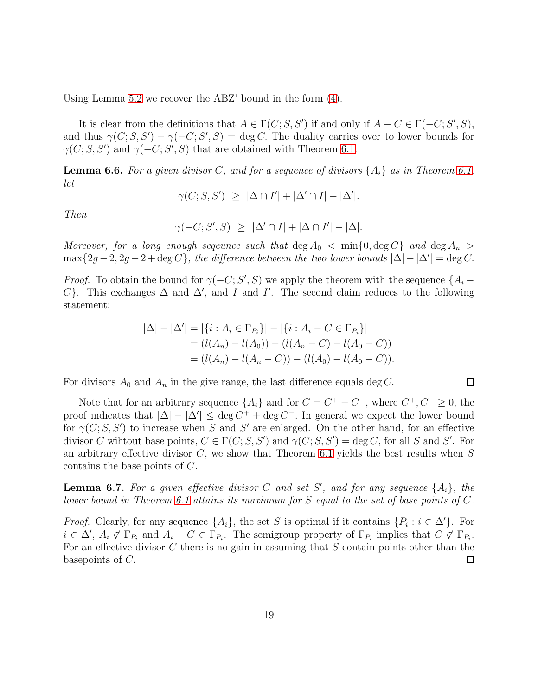Using Lemma [5.2](#page-13-0) we recover the ABZ' bound in the form [\(4\)](#page-17-1).

It is clear from the definitions that  $A \in \Gamma(C; S, S')$  if and only if  $A - C \in \Gamma(-C; S', S)$ , and thus  $\gamma(C; S, S') - \gamma(-C; S', S) = \deg C$ . The duality carries over to lower bounds for  $\gamma(C; S, S')$  and  $\gamma(-C; S', S)$  that are obtained with Theorem [6.1.](#page-15-1)

**Lemma 6.6.** For a given divisor C, and for a sequence of divisors  $\{A_i\}$  as in Theorem [6.1,](#page-15-1) let

$$
\gamma(C; S, S') \ \geq \ |\Delta \cap I'| + |\Delta' \cap I| - |\Delta'|.
$$

Then

$$
\gamma(-C;S',S) \geq |\Delta' \cap I| + |\Delta \cap I'| - |\Delta|.
$$

Moreover, for a long enough sequence such that  $\deg A_0 < \min\{0, \deg C\}$  and  $\deg A_n >$  $\max\{2g-2, 2g-2+\deg C\}$ , the difference between the two lower bounds  $|\Delta| - |\Delta'| = \deg C$ .

*Proof.* To obtain the bound for  $\gamma(-C; S', S)$  we apply the theorem with the sequence  $\{A_i -$ C}. This exchanges  $\Delta$  and  $\Delta'$ , and I and I'. The second claim reduces to the following statement:

$$
|\Delta| - |\Delta'| = |\{i : A_i \in \Gamma_{P_i}\}| - |\{i : A_i - C \in \Gamma_{P_i}\}|
$$
  
=  $(l(A_n) - l(A_0)) - (l(A_n - C) - l(A_0 - C))$   
=  $(l(A_n) - l(A_n - C)) - (l(A_0) - l(A_0 - C)).$ 

For divisors  $A_0$  and  $A_n$  in the give range, the last difference equals deg C.

Note that for an arbitrary sequence  $\{A_i\}$  and for  $C = C^+ - C^-$ , where  $C^+, C^- \geq 0$ , the proof indicates that  $|\Delta| - |\Delta'| \leq \deg C^+ + \deg C^-$ . In general we expect the lower bound for  $\gamma(C; S, S')$  to increase when S and S' are enlarged. On the other hand, for an effective divisor C wihtout base points,  $C \in \Gamma(C; S, S')$  and  $\gamma(C; S, S') = \deg C$ , for all S and S'. For an arbitrary effective divisor  $C$ , we show that Theorem [6.1](#page-15-1) yields the best results when  $S$ contains the base points of C.

**Lemma 6.7.** For a given effective divisor C and set S', and for any sequence  $\{A_i\}$ , the lower bound in Theorem [6.1](#page-15-1) attains its maximum for S equal to the set of base points of C.

*Proof.* Clearly, for any sequence  $\{A_i\}$ , the set S is optimal if it contains  $\{P_i : i \in \Delta'\}$ . For  $i \in \Delta'$ ,  $A_i \notin \Gamma_{P_i}$  and  $A_i - C \in \Gamma_{P_i}$ . The semigroup property of  $\Gamma_{P_i}$  implies that  $C \notin \Gamma_{P_i}$ . For an effective divisor C there is no gain in assuming that  $S$  contain points other than the basepoints of C.  $\Box$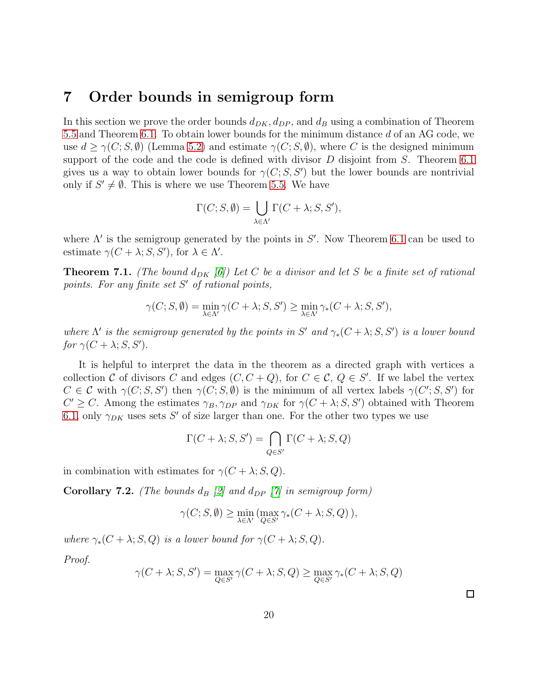## <span id="page-19-1"></span>7 Order bounds in semigroup form

In this section we prove the order bounds  $d_{DK}$ ,  $d_{DP}$ , and  $d_B$  using a combination of Theorem [5.5](#page-14-1) and Theorem [6.1.](#page-15-1) To obtain lower bounds for the minimum distance d of an AG code, we use  $d \geq \gamma(C; S, \emptyset)$  (Lemma [5.2\)](#page-13-0) and estimate  $\gamma(C; S, \emptyset)$ , where C is the designed minimum support of the code and the code is defined with divisor  $D$  disjoint from  $S$ . Theorem [6.1](#page-15-1) gives us a way to obtain lower bounds for  $\gamma(C; S, S')$  but the lower bounds are nontrivial only if  $S' \neq \emptyset$ . This is where we use Theorem [5.5.](#page-14-1) We have

$$
\Gamma(C; S, \emptyset) = \bigcup_{\lambda \in \Lambda'} \Gamma(C + \lambda; S, S'),
$$

where  $\Lambda'$  is the semigroup generated by the points in  $S'$ . Now Theorem [6.1](#page-15-1) can be used to estimate  $\gamma(C + \lambda; S, S')$ , for  $\lambda \in \Lambda'$ .

<span id="page-19-0"></span>**Theorem 7.1.** (The bound  $d_{DK}$  [\[6\]](#page-25-1)) Let C be a divisor and let S be a finite set of rational points. For any finite set S' of rational points,

$$
\gamma(C; S, \emptyset) = \min_{\lambda \in \Lambda'} \gamma(C + \lambda; S, S') \ge \min_{\lambda \in \Lambda'} \gamma_*(C + \lambda; S, S'),
$$

where  $\Lambda'$  is the semigroup generated by the points in S' and  $\gamma_*(C + \lambda; S, S')$  is a lower bound for  $\gamma(C + \lambda; S, S').$ 

It is helpful to interpret the data in the theorem as a directed graph with vertices a collection C of divisors C and edges  $(C, C + Q)$ , for  $C \in \mathcal{C}, Q \in S'$ . If we label the vertex  $C \in \mathcal{C}$  with  $\gamma(C; S, S')$  then  $\gamma(C; S, \emptyset)$  is the minimum of all vertex labels  $\gamma(C'; S, S')$  for  $C' \geq C$ . Among the estimates  $\gamma_B, \gamma_{DP}$  and  $\gamma_{DK}$  for  $\gamma(C + \lambda; S, S')$  obtained with Theorem [6.1,](#page-15-1) only  $\gamma_{DK}$  uses sets S' of size larger than one. For the other two types we use

$$
\Gamma(C + \lambda; S, S') = \bigcap_{Q \in S'} \Gamma(C + \lambda; S, Q)
$$

in combination with estimates for  $\gamma(C + \lambda; S, Q)$ .

<span id="page-19-2"></span>**Corollary 7.2.** (The bounds  $d_B$  [\[2\]](#page-25-0) and  $d_{DP}$  [\[7\]](#page-26-1) in semigroup form)

$$
\gamma(C; S, \emptyset) \ge \min_{\lambda \in \Lambda'} (\max_{Q \in S'} \gamma_*(C + \lambda; S, Q)),
$$

where  $\gamma_*(C + \lambda; S, Q)$  is a lower bound for  $\gamma(C + \lambda; S, Q)$ .

Proof.

$$
\gamma(C + \lambda; S, S') = \max_{Q \in S'} \gamma(C + \lambda; S, Q) \ge \max_{Q \in S'} \gamma_*(C + \lambda; S, Q)
$$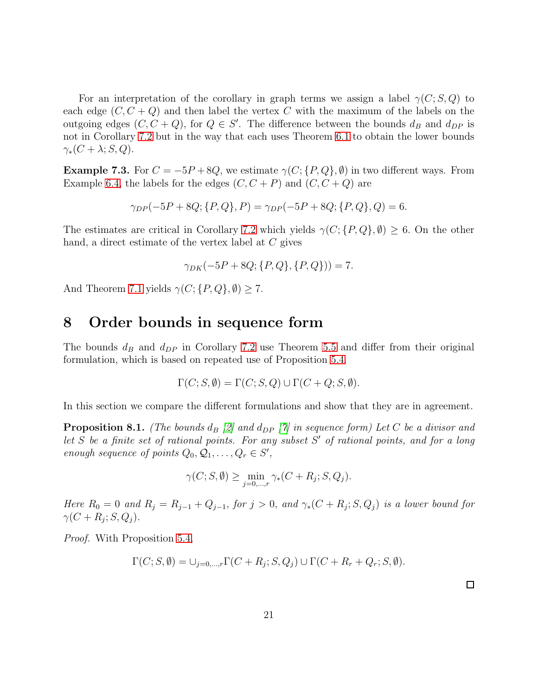For an interpretation of the corollary in graph terms we assign a label  $\gamma(C; S, Q)$  to each edge  $(C, C + Q)$  and then label the vertex C with the maximum of the labels on the outgoing edges  $(C, C + Q)$ , for  $Q \in S'$ . The difference between the bounds  $d_B$  and  $d_{DP}$  is not in Corollary [7.2](#page-19-2) but in the way that each uses Theorem [6.1](#page-15-1) to obtain the lower bounds  $\gamma_*(C + \lambda; S, Q).$ 

**Example 7.3.** For  $C = -5P + 8Q$ , we estimate  $\gamma(C; \{P, Q\}, \emptyset)$  in two different ways. From Example [6.4,](#page-17-2) the labels for the edges  $(C, C + P)$  and  $(C, C + Q)$  are

$$
\gamma_{DP}(-5P + 8Q; \{P, Q\}, P) = \gamma_{DP}(-5P + 8Q; \{P, Q\}, Q) = 6.
$$

The estimates are critical in Corollary [7.2](#page-19-2) which yields  $\gamma(C; \{P, Q\}, \emptyset) \geq 6$ . On the other hand, a direct estimate of the vertex label at C gives

$$
\gamma_{DK}(-5P + 8Q; \{P, Q\}, \{P, Q\})) = 7.
$$

<span id="page-20-0"></span>And Theorem [7.1](#page-19-0) yields  $\gamma(C; \{P, Q\}, \emptyset) \geq 7$ .

### 8 Order bounds in sequence form

The bounds  $d_B$  and  $d_{DP}$  in Corollary [7.2](#page-19-2) use Theorem [5.5](#page-14-1) and differ from their original formulation, which is based on repeated use of Proposition [5.4.](#page-14-0)

$$
\Gamma(C; S, \emptyset) = \Gamma(C; S, Q) \cup \Gamma(C + Q; S, \emptyset).
$$

In this section we compare the different formulations and show that they are in agreement.

<span id="page-20-1"></span>**Proposition 8.1.** (The bounds  $d_B$  [\[2\]](#page-25-0) and  $d_{DP}$  [\[7\]](#page-26-1) in sequence form) Let C be a divisor and let  $S$  be a finite set of rational points. For any subset  $S'$  of rational points, and for a long enough sequence of points  $Q_0, Q_1, \ldots, Q_r \in S'$ ,

$$
\gamma(C; S, \emptyset) \ge \min_{j=0,\dots,r} \gamma_*(C + R_j; S, Q_j).
$$

Here  $R_0 = 0$  and  $R_j = R_{j-1} + Q_{j-1}$ , for  $j > 0$ , and  $\gamma_*(C + R_j; S, Q_j)$  is a lower bound for  $\gamma(C + R_j; S, Q_j).$ 

Proof. With Proposition [5.4,](#page-14-0)

$$
\Gamma(C; S, \emptyset) = \bigcup_{j=0,\dots,r} \Gamma(C + R_j; S, Q_j) \cup \Gamma(C + R_r + Q_r; S, \emptyset).
$$

21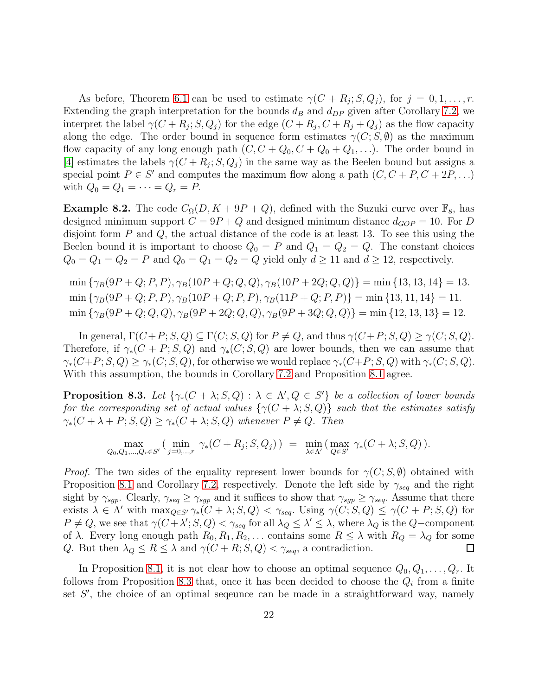As before, Theorem [6.1](#page-15-1) can be used to estimate  $\gamma(C + R_j; S, Q_j)$ , for  $j = 0, 1, \ldots, r$ . Extending the graph interpretation for the bounds  $d_B$  and  $d_{DP}$  given after Corollary [7.2,](#page-19-2) we interpret the label  $\gamma(C + R_j; S, Q_j)$  for the edge  $(C + R_j, C + R_j + Q_j)$  as the flow capacity along the edge. The order bound in sequence form estimates  $\gamma(C; S, \emptyset)$  as the maximum flow capacity of any long enough path  $(C, C + Q_0, C + Q_0 + Q_1, \ldots)$ . The order bound in [\[4\]](#page-25-3) estimates the labels  $\gamma(C + R_j; S, Q_j)$  in the same way as the Beelen bound but assigns a special point  $P \in S'$  and computes the maximum flow along a path  $(C, C + P, C + 2P, ...)$ with  $Q_0 = Q_1 = \cdots = Q_r = P$ .

**Example 8.2.** The code  $C_{\Omega}(D, K + 9P + Q)$ , defined with the Suzuki curve over  $\mathbb{F}_8$ , has designed minimum support  $C = 9P + Q$  and designed minimum distance  $d_{GOP} = 10$ . For D disjoint form  $P$  and  $Q$ , the actual distance of the code is at least 13. To see this using the Beelen bound it is important to choose  $Q_0 = P$  and  $Q_1 = Q_2 = Q$ . The constant choices  $Q_0 = Q_1 = Q_2 = P$  and  $Q_0 = Q_1 = Q_2 = Q$  yield only  $d \ge 11$  and  $d \ge 12$ , respectively.

 $\min \{\gamma_B(9P+Q;P,P), \gamma_B(10P+Q;Q,Q), \gamma_B(10P+2Q;Q,Q)\} = \min \{13, 13, 14\} = 13.$  $\min \{\gamma_B(9P+Q;P,P), \gamma_B(10P+Q;P,P), \gamma_B(11P+Q;P,P)\} = \min \{13, 11, 14\} = 11.$  $\min \{\gamma_B(9P+Q;Q,Q), \gamma_B(9P+2Q;Q,Q), \gamma_B(9P+3Q;Q,Q)\} = \min \{12, 13, 13\} = 12.$ 

In general,  $\Gamma(C+P; S, Q) \subseteq \Gamma(C; S, Q)$  for  $P \neq Q$ , and thus  $\gamma(C+P; S, Q) \geq \gamma(C; S, Q)$ . Therefore, if  $\gamma_*(C + P; S, Q)$  and  $\gamma_*(C; S, Q)$  are lower bounds, then we can assume that  $\gamma_*(C+P; S, Q) \geq \gamma_*(C; S, Q)$ , for otherwise we would replace  $\gamma_*(C+P; S, Q)$  with  $\gamma_*(C; S, Q)$ . With this assumption, the bounds in Corollary [7.2](#page-19-2) and Proposition [8.1](#page-20-1) agree.

<span id="page-21-0"></span>**Proposition 8.3.** Let  $\{\gamma_*(C + \lambda; S, Q) : \lambda \in \Lambda\}, Q \in S'\}$  be a collection of lower bounds for the corresponding set of actual values  $\{\gamma(C + \lambda; S, Q)\}\$  such that the estimates satisfy  $\gamma_*(C + \lambda + P; S, Q) \geq \gamma_*(C + \lambda; S, Q)$  whenever  $P \neq Q$ . Then

$$
\max_{Q_0, Q_1, ..., Q_r \in S'} \left( \min_{j=0,...,r} \gamma_*(C+R_j; S, Q_j) \right) = \min_{\lambda \in \Lambda'} \left( \max_{Q \in S'} \gamma_*(C+\lambda; S, Q) \right).
$$

*Proof.* The two sides of the equality represent lower bounds for  $\gamma(C; S, \emptyset)$  obtained with Proposition [8.1](#page-20-1) and Corollary [7.2,](#page-19-2) respectively. Denote the left side by  $\gamma_{seq}$  and the right sight by  $\gamma_{sgp}$ . Clearly,  $\gamma_{seq} \ge \gamma_{sgp}$  and it suffices to show that  $\gamma_{sgp} \ge \gamma_{seq}$ . Assume that there exists  $\lambda \in \Lambda'$  with  $\max_{Q \in S'} \gamma_*(C + \lambda; S, Q) < \gamma_{seq}$ . Using  $\gamma(C; S, Q) \leq \gamma(C + P; S, Q)$  for  $P \neq Q$ , we see that  $\gamma(C + \lambda'; S, Q) < \gamma_{seq}$  for all  $\lambda_Q \leq \lambda' \leq \lambda$ , where  $\lambda_Q$  is the  $Q$ -component of  $\lambda$ . Every long enough path  $R_0, R_1, R_2, \ldots$  contains some  $R \leq \lambda$  with  $R_Q = \lambda_Q$  for some Q. But then  $\lambda_Q \leq R \leq \lambda$  and  $\gamma(C + R; S, Q) < \gamma_{seq}$ , a contradiction. ப

In Proposition [8.1,](#page-20-1) it is not clear how to choose an optimal sequence  $Q_0, Q_1, \ldots, Q_r$ . It follows from Proposition [8.3](#page-21-0) that, once it has been decided to choose the  $Q_i$  from a finite set S', the choice of an optimal seqeunce can be made in a straightforward way, namely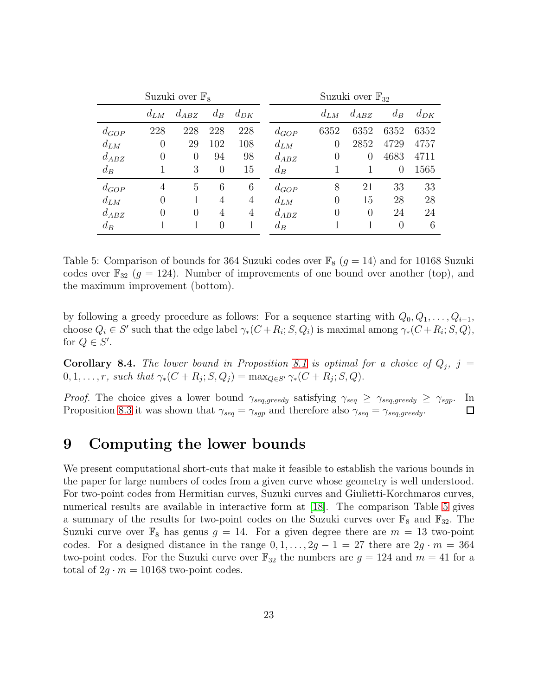|           |          | Suzuki over $\mathbb{F}_8$ |          |                | Suzuki over $\mathbb{F}_{32}$ |          |                |          |          |  |  |
|-----------|----------|----------------------------|----------|----------------|-------------------------------|----------|----------------|----------|----------|--|--|
|           | $d_{LM}$ | $d_{ABZ}$                  | $d_B$    | $d_{DK}$       |                               | $d_{LM}$ | $d_{ABZ}$      | $d_B$    | $d_{DK}$ |  |  |
| $d_{GOP}$ | 228      | 228                        | 228      | 228            | $d_{GOP}$                     | 6352     | 6352           | 6352     | 6352     |  |  |
| $d_{LM}$  | $\theta$ | 29                         | 102      | 108            | $d_{LM}$                      | $\theta$ | 2852           | 4729     | 4757     |  |  |
| $d_{ABZ}$ | $\Omega$ | $\Omega$                   | 94       | 98             | $d_{ABZ}$                     | $\theta$ | $\theta$       | 4683     | 4711     |  |  |
| $d_B$     |          | 3                          | $\theta$ | 15             | $d_B$                         |          |                | 0        | 1565     |  |  |
| $d_{GOP}$ | 4        | 5                          | 6        | 6              | $d_{GOP}$                     | 8        | 21             | 33       | 33       |  |  |
| $d_{LM}$  | $\Omega$ | 1                          | 4        | $\overline{4}$ | $d_{LM}$                      | 0        | 15             | 28       | 28       |  |  |
| $d_{ABZ}$ | 0        | $\theta$                   | 4        | 4              | $d_{ABZ}$                     | $\Omega$ | $\overline{0}$ | 24       | 24       |  |  |
| $d_B$     |          |                            | $\Omega$ | 1              | $d_B$                         |          |                | $\Omega$ | 6        |  |  |

<span id="page-22-1"></span>Table 5: Comparison of bounds for 364 Suzuki codes over  $\mathbb{F}_8$  ( $g = 14$ ) and for 10168 Suzuki codes over  $\mathbb{F}_{32}$  ( $g = 124$ ). Number of improvements of one bound over another (top), and the maximum improvement (bottom).

by following a greedy procedure as follows: For a sequence starting with  $Q_0, Q_1, \ldots, Q_{i-1}$ , choose  $Q_i \in S'$  such that the edge label  $\gamma_*(C + R_i; S, Q_i)$  is maximal among  $\gamma_*(C + R_i; S, Q)$ , for  $Q \in S'$ .

<span id="page-22-2"></span>**Corollary 8.4.** The lower bound in Proposition [8.1](#page-20-1) is optimal for a choice of  $Q_j$ ,  $j =$  $0, 1, \ldots, r$ , such that  $\gamma_*(C + R_j; S, Q_j) = \max_{Q \in S'} \gamma_*(C + R_j; S, Q)$ .

*Proof.* The choice gives a lower bound  $\gamma_{seq,greedy}$  satisfying  $\gamma_{seq} \geq \gamma_{seq,greedy} \geq \gamma_{sgp}$ . In Proposition [8.3](#page-21-0) it was shown that  $\gamma_{seq} = \gamma_{sgp}$  and therefore also  $\gamma_{seq} = \gamma_{seq,greedy}$ .  $\Box$ 

# <span id="page-22-0"></span>9 Computing the lower bounds

We present computational short-cuts that make it feasible to establish the various bounds in the paper for large numbers of codes from a given curve whose geometry is well understood. For two-point codes from Hermitian curves, Suzuki curves and Giulietti-Korchmaros curves, numerical results are available in interactive form at [\[18\]](#page-26-11). The comparison Table [5](#page-22-1) gives a summary of the results for two-point codes on the Suzuki curves over  $\mathbb{F}_8$  and  $\mathbb{F}_{32}$ . The Suzuki curve over  $\mathbb{F}_8$  has genus  $g = 14$ . For a given degree there are  $m = 13$  two-point codes. For a designed distance in the range  $0, 1, \ldots, 2g - 1 = 27$  there are  $2g \cdot m = 364$ two-point codes. For the Suzuki curve over  $\mathbb{F}_{32}$  the numbers are  $g = 124$  and  $m = 41$  for a total of  $2g \cdot m = 10168$  two-point codes.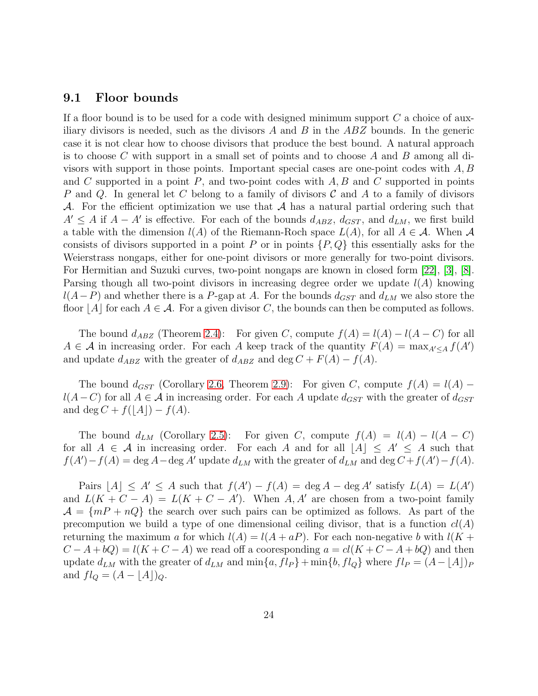#### 9.1 Floor bounds

If a floor bound is to be used for a code with designed minimum support  $C$  a choice of auxiliary divisors is needed, such as the divisors  $A$  and  $B$  in the  $ABZ$  bounds. In the generic case it is not clear how to choose divisors that produce the best bound. A natural approach is to choose C with support in a small set of points and to choose A and B among all divisors with support in those points. Important special cases are one-point codes with  $A, B$ and C supported in a point  $P$ , and two-point codes with  $A, B$  and C supported in points P and Q. In general let C belong to a family of divisors  $\mathcal C$  and A to a family of divisors A. For the efficient optimization we use that  $A$  has a natural partial ordering such that  $A' \leq A$  if  $A - A'$  is effective. For each of the bounds  $d_{ABZ}$ ,  $d_{GST}$ , and  $d_{LM}$ , we first build a table with the dimension  $l(A)$  of the Riemann-Roch space  $L(A)$ , for all  $A \in \mathcal{A}$ . When  $\mathcal{A}$ consists of divisors supported in a point P or in points  $\{P, Q\}$  this essentially asks for the Weierstrass nongaps, either for one-point divisors or more generally for two-point divisors. For Hermitian and Suzuki curves, two-point nongaps are known in closed form [\[22\]](#page-27-7), [\[3\]](#page-25-4), [\[8\]](#page-26-12). Parsing though all two-point divisors in increasing degree order we update  $l(A)$  knowing  $l(A-P)$  and whether there is a P-gap at A. For the bounds  $d_{GST}$  and  $d_{LM}$  we also store the floor |A| for each  $A \in \mathcal{A}$ . For a given divisor C, the bounds can then be computed as follows.

The bound  $d_{ABZ}$  (Theorem [2.4\)](#page-5-0): For given C, compute  $f(A) = l(A) - l(A - C)$  for all  $A \in \mathcal{A}$  in increasing order. For each A keep track of the quantity  $F(A) = \max_{A' \leq A} f(A')$ and update  $d_{ABZ}$  with the greater of  $d_{ABZ}$  and  $\deg C + F(A) - f(A)$ .

The bound  $d_{GST}$  (Corollary [2.6,](#page-6-2) Theorem [2.9\)](#page-8-1): For given C, compute  $f(A) = l(A)$  $l(A-C)$  for all  $A \in \mathcal{A}$  in increasing order. For each A update  $d_{GST}$  with the greater of  $d_{GST}$ and deg  $C + f(|A|) - f(A)$ .

The bound  $d_{LM}$  (Corollary [2.5\)](#page-6-3): For given C, compute  $f(A) = l(A) - l(A - C)$ for all  $A \in \mathcal{A}$  in increasing order. For each A and for all  $|A| \leq A' \leq A$  such that  $f(A') - f(A) = \deg A - \deg A'$  update  $d_{LM}$  with the greater of  $d_{LM}$  and  $\deg C + f(A') - f(A)$ .

Pairs  $[A] \leq A' \leq A$  such that  $f(A') - f(A) = \deg A - \deg A'$  satisfy  $L(A) = L(A')$ and  $L(K+C-A) = L(K+C-A')$ . When A, A' are chosen from a two-point family  $A = \{mP + nQ\}$  the search over such pairs can be optimized as follows. As part of the precompution we build a type of one dimensional ceiling divisor, that is a function  $cl(A)$ returning the maximum a for which  $l(A) = l(A + aP)$ . For each non-negative b with  $l(K +$  $C - A + bQ = l(K + C - A)$  we read off a cooresponding  $a = cl(K + C - A + bQ)$  and then update  $d_{LM}$  with the greater of  $d_{LM}$  and  $\min\{a, fl_P\}+\min\{b, fl_Q\}$  where  $fl_P = (A - \lfloor A \rfloor)_P$ and  $fl_Q = (A - \lfloor A \rfloor)_Q$ .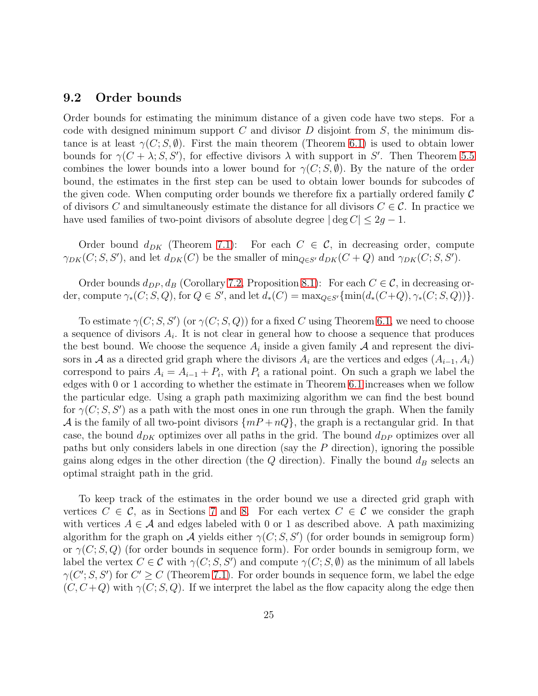#### 9.2 Order bounds

Order bounds for estimating the minimum distance of a given code have two steps. For a code with designed minimum support  $C$  and divisor  $D$  disjoint from  $S$ , the minimum distance is at least  $\gamma(C; S, \emptyset)$ . First the main theorem (Theorem [6.1\)](#page-15-1) is used to obtain lower bounds for  $\gamma(C + \lambda; S, S')$ , for effective divisors  $\lambda$  with support in S'. Then Theorem [5.5](#page-14-1) combines the lower bounds into a lower bound for  $\gamma(C; S, \emptyset)$ . By the nature of the order bound, the estimates in the first step can be used to obtain lower bounds for subcodes of the given code. When computing order bounds we therefore fix a partially ordered family  $\mathcal C$ of divisors C and simultaneously estimate the distance for all divisors  $C \in \mathcal{C}$ . In practice we have used families of two-point divisors of absolute degree  $|\deg C| \leq 2g - 1$ .

Order bound  $d_{DK}$  (Theorem [7.1\)](#page-19-0): For each  $C \in \mathcal{C}$ , in decreasing order, compute  $\gamma_{DK}(C; S, S')$ , and let  $d_{DK}(C)$  be the smaller of  $\min_{Q \in S'} d_{DK}(C + Q)$  and  $\gamma_{DK}(C; S, S')$ .

Order bounds  $d_{DP}$ ,  $d_B$  (Corollary [7.2,](#page-19-2) Proposition [8.1\)](#page-20-1): For each  $C \in \mathcal{C}$ , in decreasing order, compute  $\gamma_*(C; S, Q)$ , for  $Q \in S'$ , and let  $d_*(C) = \max_{Q \in S'} \{\min(d_*(C+Q), \gamma_*(C; S, Q))\}.$ 

To estimate  $\gamma(C; S, S')$  (or  $\gamma(C; S, Q)$ ) for a fixed C using Theorem [6.1,](#page-15-1) we need to choose a sequence of divisors  $A_i$ . It is not clear in general how to choose a sequence that produces the best bound. We choose the sequence  $A_i$  inside a given family  $A$  and represent the divisors in A as a directed grid graph where the divisors  $A_i$  are the vertices and edges  $(A_{i-1}, A_i)$ correspond to pairs  $A_i = A_{i-1} + P_i$ , with  $P_i$  a rational point. On such a graph we label the edges with 0 or 1 according to whether the estimate in Theorem [6.1](#page-15-1) increases when we follow the particular edge. Using a graph path maximizing algorithm we can find the best bound for  $\gamma(C; S, S')$  as a path with the most ones in one run through the graph. When the family A is the family of all two-point divisors  $\{m + nQ\}$ , the graph is a rectangular grid. In that case, the bound  $d_{DK}$  optimizes over all paths in the grid. The bound  $d_{DP}$  optimizes over all paths but only considers labels in one direction (say the P direction), ignoring the possible gains along edges in the other direction (the  $Q$  direction). Finally the bound  $d_B$  selects an optimal straight path in the grid.

To keep track of the estimates in the order bound we use a directed grid graph with vertices  $C \in \mathcal{C}$ , as in Sections [7](#page-19-1) and [8.](#page-20-0) For each vertex  $C \in \mathcal{C}$  we consider the graph with vertices  $A \in \mathcal{A}$  and edges labeled with 0 or 1 as described above. A path maximizing algorithm for the graph on A yields either  $\gamma(C; S, S')$  (for order bounds in semigroup form) or  $\gamma(C; S, Q)$  (for order bounds in sequence form). For order bounds in semigroup form, we label the vertex  $C \in \mathcal{C}$  with  $\gamma(C; S, S')$  and compute  $\gamma(C; S, \emptyset)$  as the minimum of all labels  $\gamma(C';S,S')$  for  $C' \geq C$  (Theorem [7.1\)](#page-19-0). For order bounds in sequence form, we label the edge  $(C, C+Q)$  with  $\gamma(C; S, Q)$ . If we interpret the label as the flow capacity along the edge then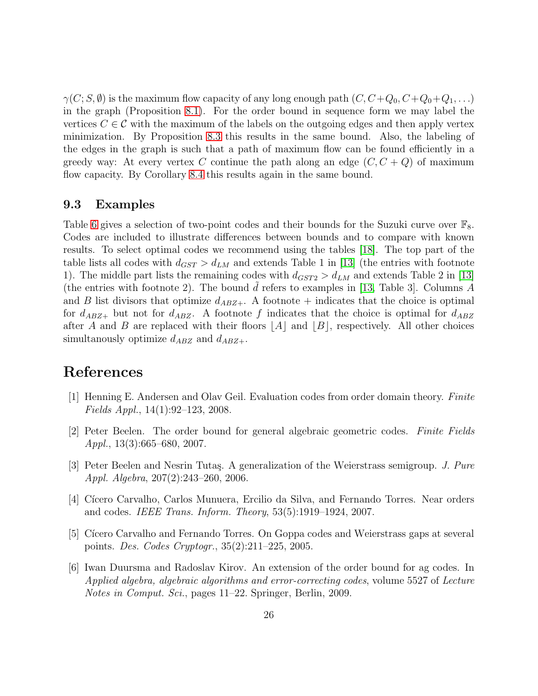$\gamma(C; S, \emptyset)$  is the maximum flow capacity of any long enough path  $(C, C+Q_0, C+Q_0+Q_1, ...)$ in the graph (Proposition [8.1\)](#page-20-1). For the order bound in sequence form we may label the vertices  $C \in \mathcal{C}$  with the maximum of the labels on the outgoing edges and then apply vertex minimization. By Proposition [8.3](#page-21-0) this results in the same bound. Also, the labeling of the edges in the graph is such that a path of maximum flow can be found efficiently in a greedy way: At every vertex C continue the path along an edge  $(C, C + Q)$  of maximum flow capacity. By Corollary [8.4](#page-22-2) this results again in the same bound.

#### 9.3 Examples

Table [6](#page-28-0) gives a selection of two-point codes and their bounds for the Suzuki curve over  $\mathbb{F}_8$ . Codes are included to illustrate differences between bounds and to compare with known results. To select optimal codes we recommend using the tables [\[18\]](#page-26-11). The top part of the table lists all codes with  $d_{GST} > d_{LM}$  and extends Table 1 in [\[13\]](#page-26-0) (the entries with footnote 1). The middle part lists the remaining codes with  $d_{GST2} > d_{LM}$  and extends Table 2 in [\[13\]](#page-26-0) (the entries with footnote 2). The bound d refers to examples in [\[13,](#page-26-0) Table 3]. Columns  $A$ and B list divisors that optimize  $d_{ABZ+}$ . A footnote + indicates that the choice is optimal for  $d_{ABZ+}$  but not for  $d_{ABZ}$ . A footnote f indicates that the choice is optimal for  $d_{ABZ}$ after A and B are replaced with their floors  $|A|$  and  $|B|$ , respectively. All other choices simultanously optimize  $d_{ABZ}$  and  $d_{ABZ+}$ .

## References

- [1] Henning E. Andersen and Olav Geil. Evaluation codes from order domain theory. Finite Fields Appl., 14(1):92–123, 2008.
- <span id="page-25-0"></span>[2] Peter Beelen. The order bound for general algebraic geometric codes. Finite Fields Appl., 13(3):665–680, 2007.
- <span id="page-25-4"></span>[3] Peter Beelen and Nesrin Tutaş. A generalization of the Weierstrass semigroup. J. Pure Appl. Algebra, 207(2):243–260, 2006.
- <span id="page-25-3"></span>[4] Cícero Carvalho, Carlos Munuera, Ercilio da Silva, and Fernando Torres. Near orders and codes. IEEE Trans. Inform. Theory, 53(5):1919–1924, 2007.
- <span id="page-25-2"></span>[5] Cícero Carvalho and Fernando Torres. On Goppa codes and Weierstrass gaps at several points. Des. Codes Cryptogr., 35(2):211–225, 2005.
- <span id="page-25-1"></span>[6] Iwan Duursma and Radoslav Kirov. An extension of the order bound for ag codes. In Applied algebra, algebraic algorithms and error-correcting codes, volume 5527 of Lecture Notes in Comput. Sci., pages 11–22. Springer, Berlin, 2009.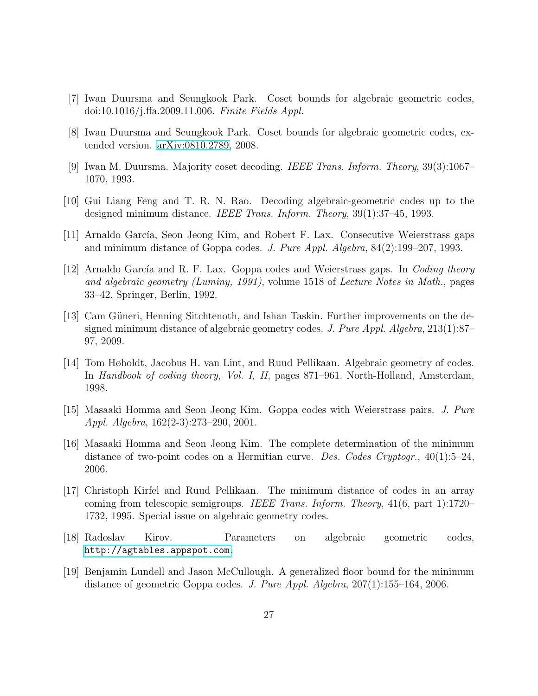- <span id="page-26-12"></span><span id="page-26-1"></span>[7] Iwan Duursma and Seungkook Park. Coset bounds for algebraic geometric codes, doi:10.1016/j.ffa.2009.11.006. Finite Fields Appl.
- <span id="page-26-7"></span>[8] Iwan Duursma and Seungkook Park. Coset bounds for algebraic geometric codes, extended version. [arXiv:0810.2789,](http://arxiv.org/abs/0810.2789) 2008.
- <span id="page-26-6"></span>[9] Iwan M. Duursma. Majority coset decoding. IEEE Trans. Inform. Theory, 39(3):1067– 1070, 1993.
- <span id="page-26-10"></span>[10] Gui Liang Feng and T. R. N. Rao. Decoding algebraic-geometric codes up to the designed minimum distance. IEEE Trans. Inform. Theory, 39(1):37–45, 1993.
- <span id="page-26-4"></span>[11] Arnaldo García, Seon Jeong Kim, and Robert F. Lax. Consecutive Weierstrass gaps and minimum distance of Goppa codes. J. Pure Appl. Algebra, 84(2):199–207, 1993.
- [12] Arnaldo García and R. F. Lax. Goppa codes and Weierstrass gaps. In Coding theory and algebraic geometry (Luminy, 1991), volume 1518 of Lecture Notes in Math., pages 33–42. Springer, Berlin, 1992.
- <span id="page-26-0"></span>[13] Cam Güneri, Henning Sitchtenoth, and Ishan Taskin. Further improvements on the designed minimum distance of algebraic geometry codes. J. Pure Appl. Algebra,  $213(1):87-$ 97, 2009.
- <span id="page-26-8"></span>[14] Tom Høholdt, Jacobus H. van Lint, and Ruud Pellikaan. Algebraic geometry of codes. In Handbook of coding theory, Vol. I, II, pages 871–961. North-Holland, Amsterdam, 1998.
- <span id="page-26-2"></span>[15] Masaaki Homma and Seon Jeong Kim. Goppa codes with Weierstrass pairs. J. Pure Appl. Algebra, 162(2-3):273–290, 2001.
- <span id="page-26-9"></span>[16] Masaaki Homma and Seon Jeong Kim. The complete determination of the minimum distance of two-point codes on a Hermitian curve. Des. Codes Cryptogr.,  $40(1)$ :5–24, 2006.
- <span id="page-26-5"></span>[17] Christoph Kirfel and Ruud Pellikaan. The minimum distance of codes in an array coming from telescopic semigroups. IEEE Trans. Inform. Theory,  $41(6, part 1)$ :1720– 1732, 1995. Special issue on algebraic geometry codes.
- <span id="page-26-11"></span><span id="page-26-3"></span>[18] Radoslav Kirov. Parameters on algebraic geometric codes, <http://agtables.appspot.com>.
- [19] Benjamin Lundell and Jason McCullough. A generalized floor bound for the minimum distance of geometric Goppa codes. J. Pure Appl. Algebra, 207(1):155–164, 2006.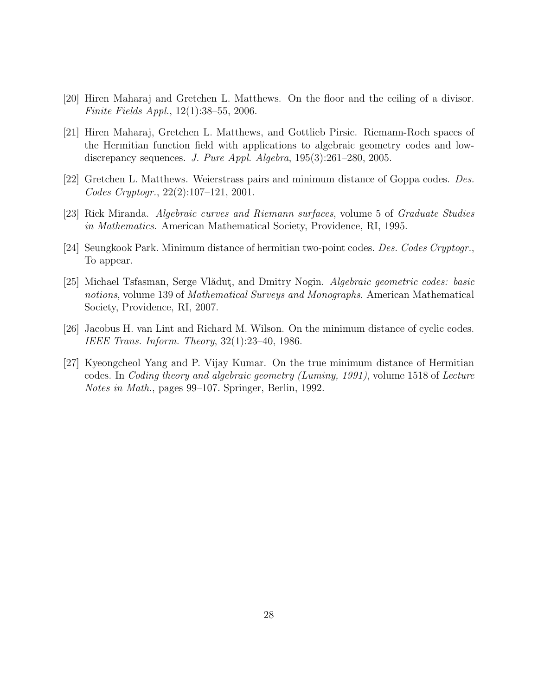- <span id="page-27-2"></span><span id="page-27-0"></span>[20] Hiren Maharaj and Gretchen L. Matthews. On the floor and the ceiling of a divisor. Finite Fields Appl., 12(1):38–55, 2006.
- [21] Hiren Maharaj, Gretchen L. Matthews, and Gottlieb Pirsic. Riemann-Roch spaces of the Hermitian function field with applications to algebraic geometry codes and lowdiscrepancy sequences. J. Pure Appl. Algebra, 195(3):261–280, 2005.
- <span id="page-27-7"></span><span id="page-27-1"></span>[22] Gretchen L. Matthews. Weierstrass pairs and minimum distance of Goppa codes. Des. Codes Cryptogr., 22(2):107–121, 2001.
- <span id="page-27-5"></span>[23] Rick Miranda. Algebraic curves and Riemann surfaces, volume 5 of Graduate Studies in Mathematics. American Mathematical Society, Providence, RI, 1995.
- <span id="page-27-6"></span>[24] Seungkook Park. Minimum distance of hermitian two-point codes. Des. Codes Cryptogr., To appear.
- [25] Michael Tsfasman, Serge Vlădut, and Dmitry Nogin. Algebraic geometric codes: basic notions, volume 139 of *Mathematical Surveys and Monographs*. American Mathematical Society, Providence, RI, 2007.
- <span id="page-27-4"></span><span id="page-27-3"></span>[26] Jacobus H. van Lint and Richard M. Wilson. On the minimum distance of cyclic codes. IEEE Trans. Inform. Theory, 32(1):23–40, 1986.
- [27] Kyeongcheol Yang and P. Vijay Kumar. On the true minimum distance of Hermitian codes. In Coding theory and algebraic geometry (Luminy, 1991), volume 1518 of Lecture Notes in Math., pages 99–107. Springer, Berlin, 1992.